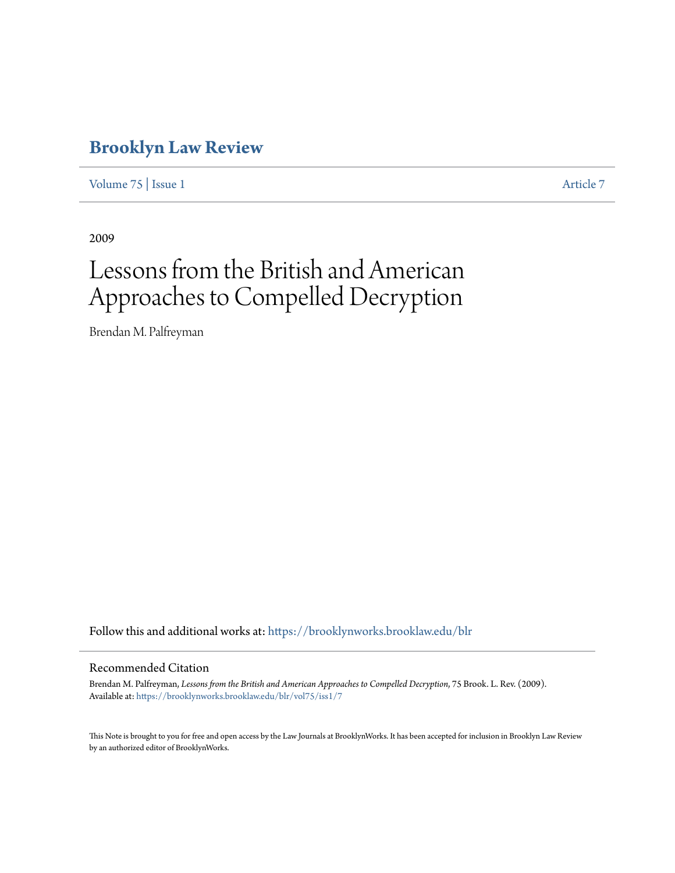# **[Brooklyn Law Review](https://brooklynworks.brooklaw.edu/blr?utm_source=brooklynworks.brooklaw.edu%2Fblr%2Fvol75%2Fiss1%2F7&utm_medium=PDF&utm_campaign=PDFCoverPages)**

[Volume 75](https://brooklynworks.brooklaw.edu/blr/vol75?utm_source=brooklynworks.brooklaw.edu%2Fblr%2Fvol75%2Fiss1%2F7&utm_medium=PDF&utm_campaign=PDFCoverPages) | [Issue 1](https://brooklynworks.brooklaw.edu/blr/vol75/iss1?utm_source=brooklynworks.brooklaw.edu%2Fblr%2Fvol75%2Fiss1%2F7&utm_medium=PDF&utm_campaign=PDFCoverPages) [Article 7](https://brooklynworks.brooklaw.edu/blr/vol75/iss1/7?utm_source=brooklynworks.brooklaw.edu%2Fblr%2Fvol75%2Fiss1%2F7&utm_medium=PDF&utm_campaign=PDFCoverPages)

2009

# Lessons from the British and American Approaches to Compelled Decryption

Brendan M. Palfreyman

Follow this and additional works at: [https://brooklynworks.brooklaw.edu/blr](https://brooklynworks.brooklaw.edu/blr?utm_source=brooklynworks.brooklaw.edu%2Fblr%2Fvol75%2Fiss1%2F7&utm_medium=PDF&utm_campaign=PDFCoverPages)

# Recommended Citation

Brendan M. Palfreyman, *Lessons from the British and American Approaches to Compelled Decryption*, 75 Brook. L. Rev. (2009). Available at: [https://brooklynworks.brooklaw.edu/blr/vol75/iss1/7](https://brooklynworks.brooklaw.edu/blr/vol75/iss1/7?utm_source=brooklynworks.brooklaw.edu%2Fblr%2Fvol75%2Fiss1%2F7&utm_medium=PDF&utm_campaign=PDFCoverPages)

This Note is brought to you for free and open access by the Law Journals at BrooklynWorks. It has been accepted for inclusion in Brooklyn Law Review by an authorized editor of BrooklynWorks.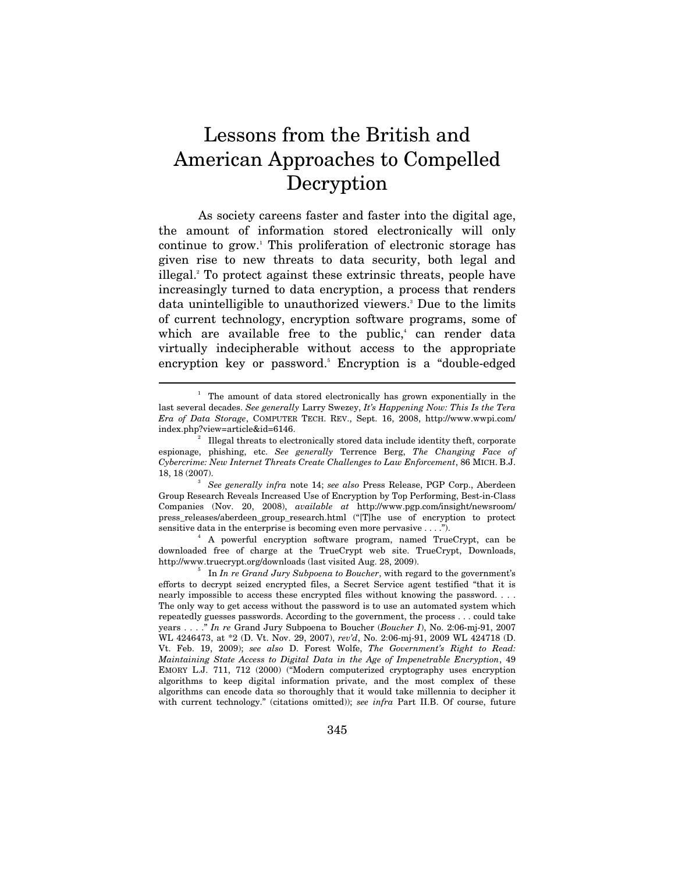# Lessons from the British and American Approaches to Compelled Decryption

As society careens faster and faster into the digital age, the amount of information stored electronically will only continue to grow.1 This proliferation of electronic storage has given rise to new threats to data security, both legal and illegal.2 To protect against these extrinsic threats, people have increasingly turned to data encryption, a process that renders data unintelligible to unauthorized viewers.<sup>3</sup> Due to the limits of current technology, encryption software programs, some of which are available free to the public,<sup>4</sup> can render data virtually indecipherable without access to the appropriate encryption key or password. Encryption is a "double-edged

 $\overline{a}$ 

 A powerful encryption software program, named TrueCrypt, can be downloaded free of charge at the TrueCrypt web site. TrueCrypt, Downloads, http://www.truecrypt.org/downloads (last visited Aug. 28, 2009).

<sup>&</sup>lt;sup>1</sup> The amount of data stored electronically has grown exponentially in the last several decades. *See generally* Larry Swezey, *It's Happening Now: This Is the Tera Era of Data Storage*, COMPUTER TECH. REV., Sept. 16, 2008, http://www.wwpi.com/ index.php?view=article&id=6146. 2

Illegal threats to electronically stored data include identity theft, corporate espionage, phishing, etc. *See generally* Terrence Berg, *The Changing Face of Cybercrime: New Internet Threats Create Challenges to Law Enforcement*, 86 MICH. B.J. 18, 18 (2007).

*See generally infra* note 14; *see also* Press Release, PGP Corp., Aberdeen Group Research Reveals Increased Use of Encryption by Top Performing, Best-in-Class Companies (Nov. 20, 2008), *available at* http://www.pgp.com/insight/newsroom/ press\_releases/aberdeen\_group\_research.html ("[T]he use of encryption to protect sensitive data in the enterprise is becoming even more pervasive . . . .").

<sup>&</sup>lt;sup>5</sup> In *In re Grand Jury Subpoena to Boucher*, with regard to the government's efforts to decrypt seized encrypted files, a Secret Service agent testified "that it is nearly impossible to access these encrypted files without knowing the password. . . . The only way to get access without the password is to use an automated system which repeatedly guesses passwords. According to the government, the process . . . could take years . . . ." *In re* Grand Jury Subpoena to Boucher (*Boucher I*), No. 2:06-mj-91, 2007 WL 4246473, at \*2 (D. Vt. Nov. 29, 2007), *rev'd*, No. 2:06-mj-91, 2009 WL 424718 (D. Vt. Feb. 19, 2009); *see also* D. Forest Wolfe, *The Government's Right to Read: Maintaining State Access to Digital Data in the Age of Impenetrable Encryption*, 49 EMORY L.J. 711, 712 (2000) ("Modern computerized cryptography uses encryption algorithms to keep digital information private, and the most complex of these algorithms can encode data so thoroughly that it would take millennia to decipher it with current technology." (citations omitted)); *see infra* Part II.B. Of course, future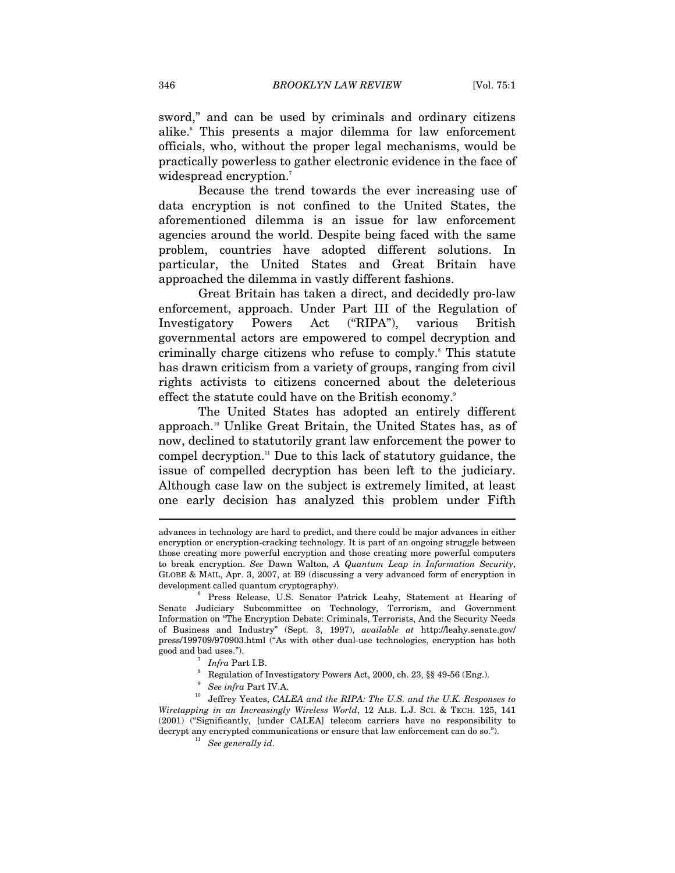sword," and can be used by criminals and ordinary citizens alike.6 This presents a major dilemma for law enforcement officials, who, without the proper legal mechanisms, would be practically powerless to gather electronic evidence in the face of widespread encryption.<sup>7</sup>

Because the trend towards the ever increasing use of data encryption is not confined to the United States, the aforementioned dilemma is an issue for law enforcement agencies around the world. Despite being faced with the same problem, countries have adopted different solutions. In particular, the United States and Great Britain have approached the dilemma in vastly different fashions.

Great Britain has taken a direct, and decidedly pro-law enforcement, approach. Under Part III of the Regulation of Investigatory Powers Act ("RIPA"), various British governmental actors are empowered to compel decryption and criminally charge citizens who refuse to comply.<sup>8</sup> This statute has drawn criticism from a variety of groups, ranging from civil rights activists to citizens concerned about the deleterious effect the statute could have on the British economy.<sup>9</sup>

The United States has adopted an entirely different approach.10 Unlike Great Britain, the United States has, as of now, declined to statutorily grant law enforcement the power to compel decryption.11 Due to this lack of statutory guidance, the issue of compelled decryption has been left to the judiciary. Although case law on the subject is extremely limited, at least one early decision has analyzed this problem under Fifth

advances in technology are hard to predict, and there could be major advances in either encryption or encryption-cracking technology. It is part of an ongoing struggle between those creating more powerful encryption and those creating more powerful computers to break encryption. *See* Dawn Walton, *A Quantum Leap in Information Security*, GLOBE & MAIL, Apr. 3, 2007, at B9 (discussing a very advanced form of encryption in development called quantum cryptography).

<sup>&</sup>lt;sup>6</sup> Press Release, U.S. Senator Patrick Leahy, Statement at Hearing of Senate Judiciary Subcommittee on Technology, Terrorism, and Government Information on "The Encryption Debate: Criminals, Terrorists, And the Security Needs of Business and Industry" (Sept. 3, 1997), *available at* http://leahy.senate.gov/ press/199709/970903.html ("As with other dual-use technologies, encryption has both good and bad uses."). 7

 $\int$ <sup>7</sup> Infra Part I.B.

<sup>&</sup>lt;sup>8</sup> Regulation of Investigatory Powers Act, 2000, ch. 23, §§ 49-56 (Eng.). <br><sup>9</sup> See infra Part IV.A.

<sup>&</sup>lt;sup>10</sup> Jeffrey Yeates, *CALEA and the RIPA: The U.S. and the U.K. Responses to*  $\overline{C}$ *Wiretapping in an Increasingly Wireless World*, 12 ALB. L.J. SCI. & TECH. 125, 141 (2001) ("Significantly, [under CALEA] telecom carriers have no responsibility to decrypt any encrypted communications or ensure that law enforcement can do so."). See generally  $id.$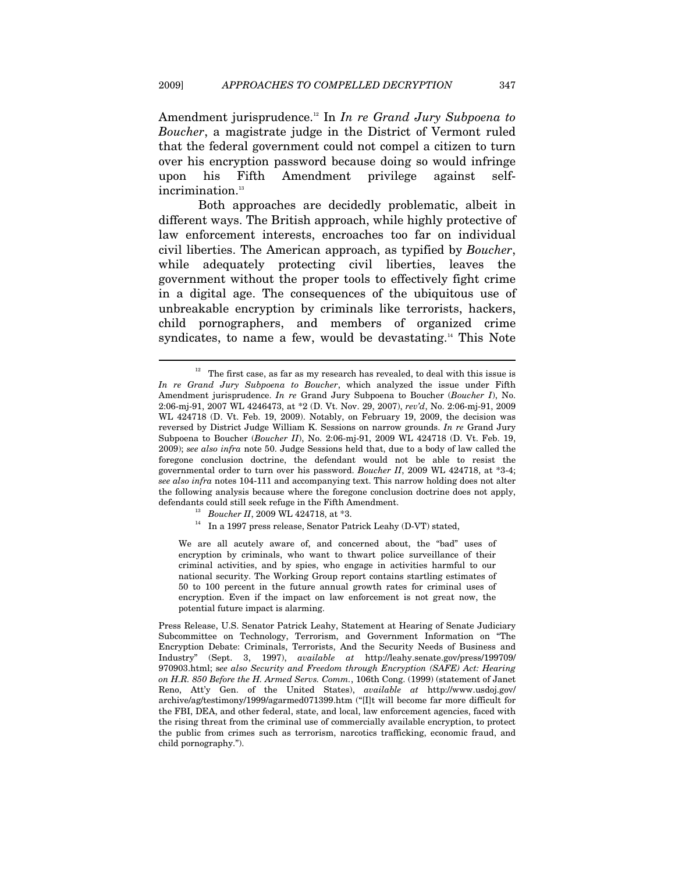Amendment jurisprudence.12 In *In re Grand Jury Subpoena to Boucher*, a magistrate judge in the District of Vermont ruled that the federal government could not compel a citizen to turn over his encryption password because doing so would infringe upon his Fifth Amendment privilege against selfincrimination.<sup>13</sup>

Both approaches are decidedly problematic, albeit in different ways. The British approach, while highly protective of law enforcement interests, encroaches too far on individual civil liberties. The American approach, as typified by *Boucher*, while adequately protecting civil liberties, leaves the government without the proper tools to effectively fight crime in a digital age. The consequences of the ubiquitous use of unbreakable encryption by criminals like terrorists, hackers, child pornographers, and members of organized crime syndicates, to name a few, would be devastating.<sup>14</sup> This Note

 $\overline{a}$ 

We are all acutely aware of, and concerned about, the "bad" uses of encryption by criminals, who want to thwart police surveillance of their criminal activities, and by spies, who engage in activities harmful to our national security. The Working Group report contains startling estimates of 50 to 100 percent in the future annual growth rates for criminal uses of encryption. Even if the impact on law enforcement is not great now, the potential future impact is alarming.

 $12$  The first case, as far as my research has revealed, to deal with this issue is *In re Grand Jury Subpoena to Boucher*, which analyzed the issue under Fifth Amendment jurisprudence. *In re* Grand Jury Subpoena to Boucher (*Boucher I*), No. 2:06-mj-91, 2007 WL 4246473, at \*2 (D. Vt. Nov. 29, 2007), *rev'd*, No. 2:06-mj-91, 2009 WL 424718 (D. Vt. Feb. 19, 2009). Notably, on February 19, 2009, the decision was reversed by District Judge William K. Sessions on narrow grounds. *In re* Grand Jury Subpoena to Boucher (*Boucher II*), No. 2:06-mj-91, 2009 WL 424718 (D. Vt. Feb. 19, 2009); *see also infra* note 50. Judge Sessions held that, due to a body of law called the foregone conclusion doctrine, the defendant would not be able to resist the governmental order to turn over his password. *Boucher II*, 2009 WL 424718, at \*3-4; *see also infra* notes 104-111 and accompanying text. This narrow holding does not alter the following analysis because where the foregone conclusion doctrine does not apply, defendants could still seek refuge in the Fifth Amendment.<br><sup>13</sup> Boucher II, 2009 WL 424718, at \*3.<br><sup>14</sup> In a 1997 press release, Senator Patrick Leahy (D-VT) stated,

Press Release, U.S. Senator Patrick Leahy, Statement at Hearing of Senate Judiciary Subcommittee on Technology, Terrorism, and Government Information on "The Encryption Debate: Criminals, Terrorists, And the Security Needs of Business and Industry" (Sept. 3, 1997), *available at* http://leahy.senate.gov/press/199709/ 970903.html; s*ee also Security and Freedom through Encryption (SAFE) Act: Hearing on H.R. 850 Before the H. Armed Servs. Comm.*, 106th Cong. (1999) (statement of Janet Reno, Att'y Gen. of the United States), *available at* http://www.usdoj.gov/ archive/ag/testimony/1999/agarmed071399.htm ("[I]t will become far more difficult for the FBI, DEA, and other federal, state, and local, law enforcement agencies, faced with the rising threat from the criminal use of commercially available encryption, to protect the public from crimes such as terrorism, narcotics trafficking, economic fraud, and child pornography.").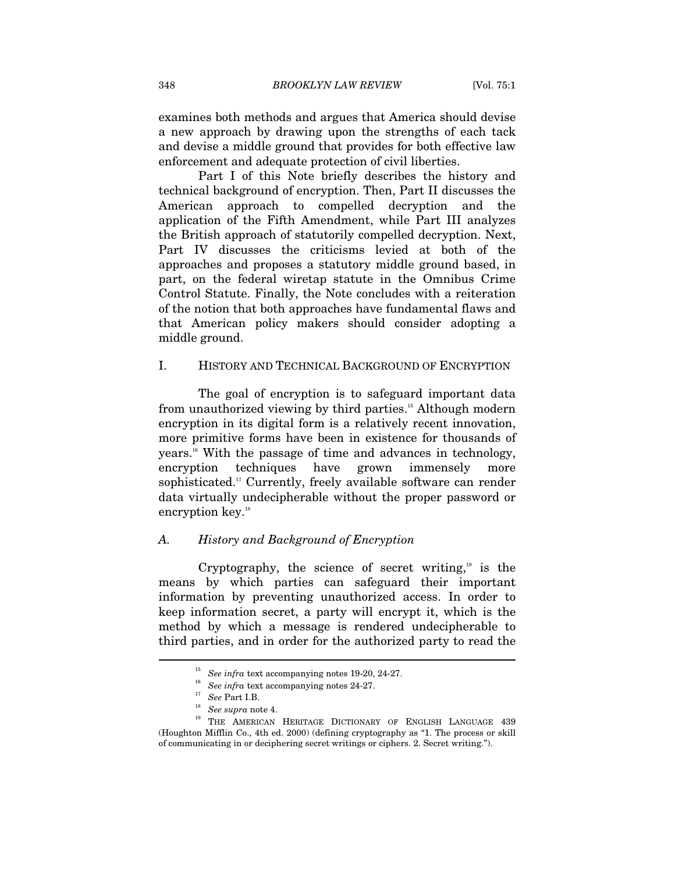examines both methods and argues that America should devise a new approach by drawing upon the strengths of each tack and devise a middle ground that provides for both effective law enforcement and adequate protection of civil liberties.

Part I of this Note briefly describes the history and technical background of encryption. Then, Part II discusses the American approach to compelled decryption and the application of the Fifth Amendment, while Part III analyzes the British approach of statutorily compelled decryption. Next, Part IV discusses the criticisms levied at both of the approaches and proposes a statutory middle ground based, in part, on the federal wiretap statute in the Omnibus Crime Control Statute. Finally, the Note concludes with a reiteration of the notion that both approaches have fundamental flaws and that American policy makers should consider adopting a middle ground.

#### I. HISTORY AND TECHNICAL BACKGROUND OF ENCRYPTION

The goal of encryption is to safeguard important data from unauthorized viewing by third parties.15 Although modern encryption in its digital form is a relatively recent innovation, more primitive forms have been in existence for thousands of years.16 With the passage of time and advances in technology, encryption techniques have grown immensely more sophisticated.<sup>17</sup> Currently, freely available software can render data virtually undecipherable without the proper password or encryption key.<sup>18</sup>

# *A. History and Background of Encryption*

Cryptography, the science of secret writing, $19$  is the means by which parties can safeguard their important information by preventing unauthorized access. In order to keep information secret, a party will encrypt it, which is the method by which a message is rendered undecipherable to third parties, and in order for the authorized party to read the

<sup>&</sup>lt;sup>15</sup> See infra text accompanying notes 19-20, 24-27.<br><sup>16</sup> See infra text accompanying notes 24-27.<br><sup>17</sup> See supra note 4.<br><sup>19</sup> THE AMERICAN HERITAGE DICTIONARY OF ENGLISH LANGUAGE 439 (Houghton Mifflin Co., 4th ed. 2000) (defining cryptography as "1. The process or skill of communicating in or deciphering secret writings or ciphers. 2. Secret writing.").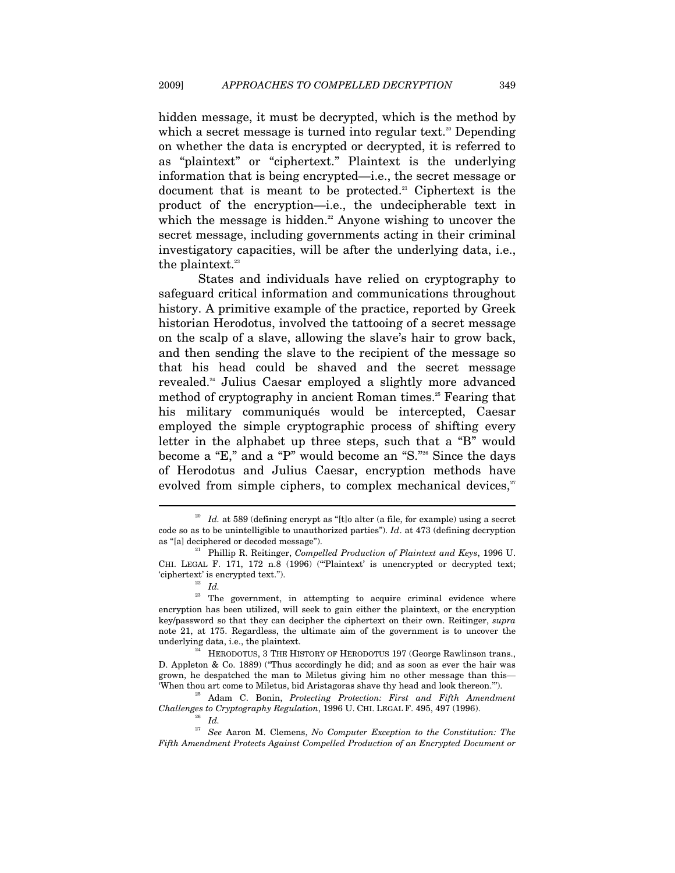hidden message, it must be decrypted, which is the method by which a secret message is turned into regular text.<sup>20</sup> Depending on whether the data is encrypted or decrypted, it is referred to as "plaintext" or "ciphertext." Plaintext is the underlying information that is being encrypted—i.e., the secret message or document that is meant to be protected.<sup>21</sup> Ciphertext is the product of the encryption—i.e., the undecipherable text in which the message is hidden.<sup>22</sup> Anyone wishing to uncover the secret message, including governments acting in their criminal investigatory capacities, will be after the underlying data, i.e., the plaintext.<sup>23</sup>

States and individuals have relied on cryptography to safeguard critical information and communications throughout history. A primitive example of the practice, reported by Greek historian Herodotus, involved the tattooing of a secret message on the scalp of a slave, allowing the slave's hair to grow back, and then sending the slave to the recipient of the message so that his head could be shaved and the secret message revealed.24 Julius Caesar employed a slightly more advanced method of cryptography in ancient Roman times.<sup>25</sup> Fearing that his military communiqués would be intercepted, Caesar employed the simple cryptographic process of shifting every letter in the alphabet up three steps, such that a "B" would become a "E," and a "P" would become an "S."26 Since the days of Herodotus and Julius Caesar, encryption methods have evolved from simple ciphers, to complex mechanical devices, $27$ 

Id. at 589 (defining encrypt as "[t]o alter (a file, for example) using a secret code so as to be unintelligible to unauthorized parties"). *Id*. at 473 (defining decryption as "[a] deciphered or decoded message"). 21 Phillip R. Reitinger, *Compelled Production of Plaintext and Keys*, 1996 U.

CHI. LEGAL F. 171, 172 n.8 (1996) ("'Plaintext' is unencrypted or decrypted text; 'ciphertext' is encrypted text."). 22 *Id.*

<sup>&</sup>lt;sup>23</sup> The government, in attempting to acquire criminal evidence where encryption has been utilized, will seek to gain either the plaintext, or the encryption key/password so that they can decipher the ciphertext on their own. Reitinger, *supra* note 21, at 175. Regardless, the ultimate aim of the government is to uncover the underlying data, i.e., the plaintext.<br><sup>24</sup> HERODOTUS, 3 THE HISTORY OF HERODOTUS 197 (George Rawlinson trans.,

D. Appleton & Co. 1889) ("Thus accordingly he did; and as soon as ever the hair was grown, he despatched the man to Miletus giving him no other message than this—

<sup>&#</sup>x27;When thou art come to Miletus, bid Aristagoras shave thy head and look thereon.'"). 25 Adam C. Bonin, *Protecting Protection: First and Fifth Amendment Challenges to Cryptography Regulation*, 1996 U. CHI. LEGAL F. 495, 497 (1996). 26 *Id.*

<sup>27</sup> *See* Aaron M. Clemens, *No Computer Exception to the Constitution: The Fifth Amendment Protects Against Compelled Production of an Encrypted Document or*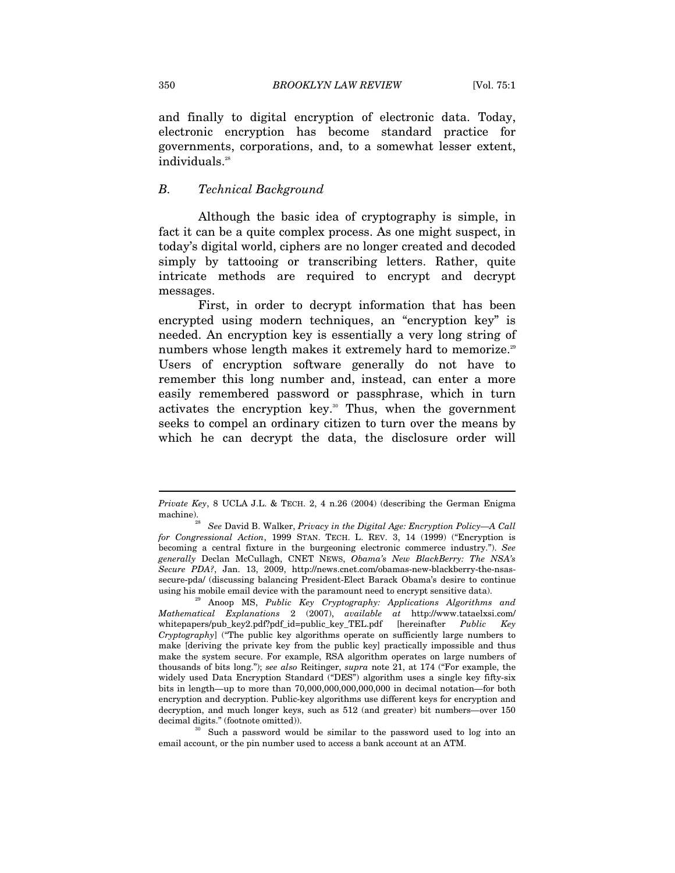and finally to digital encryption of electronic data. Today, electronic encryption has become standard practice for governments, corporations, and, to a somewhat lesser extent, individuals.<sup>28</sup>

#### *B. Technical Background*

Although the basic idea of cryptography is simple, in fact it can be a quite complex process. As one might suspect, in today's digital world, ciphers are no longer created and decoded simply by tattooing or transcribing letters. Rather, quite intricate methods are required to encrypt and decrypt messages.

First, in order to decrypt information that has been encrypted using modern techniques, an "encryption key" is needed. An encryption key is essentially a very long string of numbers whose length makes it extremely hard to memorize.<sup>29</sup> Users of encryption software generally do not have to remember this long number and, instead, can enter a more easily remembered password or passphrase, which in turn activates the encryption key.<sup>30</sup> Thus, when the government seeks to compel an ordinary citizen to turn over the means by which he can decrypt the data, the disclosure order will

decimal digits." (footnote omitted)).<br><sup>30</sup> Such a password would be similar to the password used to log into an email account, or the pin number used to access a bank account at an ATM.

*Private Key*, 8 UCLA J.L. & TECH. 2, 4 n.26 (2004) (describing the German Enigma machine).<br><sup>28</sup> See David B. Walker, *Privacy in the Digital Age: Encryption Policy—A Call* 

*for Congressional Action*, 1999 STAN. TECH. L. REV. 3, 14 (1999) ("Encryption is becoming a central fixture in the burgeoning electronic commerce industry."). *See generally* Declan McCullagh, CNET NEWS, *Obama's New BlackBerry: The NSA's Secure PDA?*, Jan. 13, 2009, http://news.cnet.com/obamas-new-blackberry-the-nsassecure-pda/ (discussing balancing President-Elect Barack Obama's desire to continue using his mobile email device with the paramount need to encrypt sensitive data). 29 Anoop MS, *Public Key Cryptography: Applications Algorithms and* 

*Mathematical Explanations* 2 (2007), *available at* http://www.tataelxsi.com/ whitepapers/pub\_key2.pdf?pdf\_id=public\_key\_TEL.pdf [hereinafter *Public Key Cryptography*] ("The public key algorithms operate on sufficiently large numbers to make [deriving the private key from the public key] practically impossible and thus make the system secure. For example, RSA algorithm operates on large numbers of thousands of bits long."); *see also* Reitinger, *supra* note 21, at 174 ("For example, the widely used Data Encryption Standard ("DES") algorithm uses a single key fifty-six bits in length—up to more than 70,000,000,000,000,000 in decimal notation*—*for both encryption and decryption. Public-key algorithms use different keys for encryption and decryption, and much longer keys, such as 512 (and greater) bit numbers*—*over 150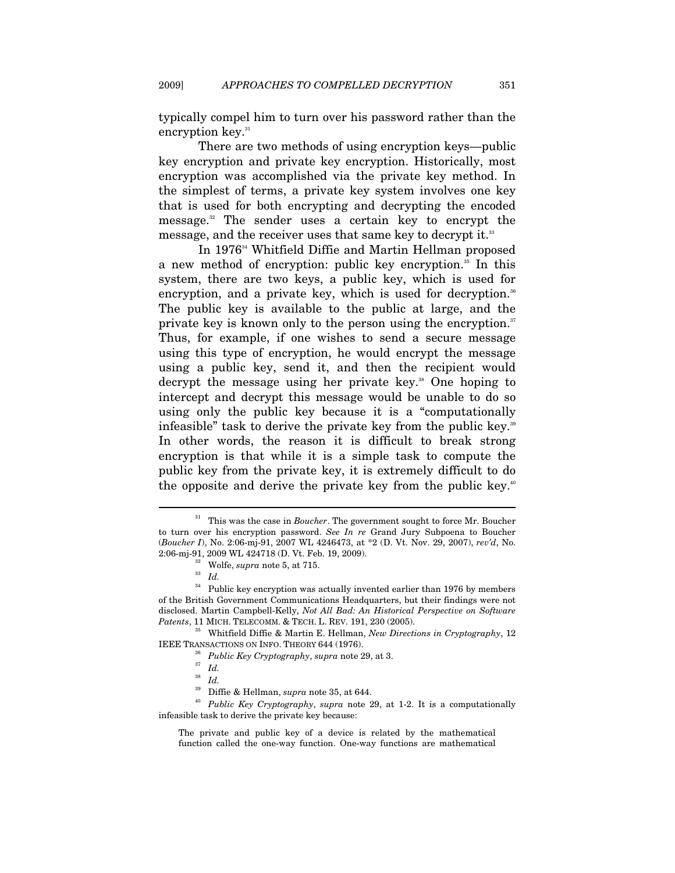typically compel him to turn over his password rather than the encryption key.<sup>31</sup>

There are two methods of using encryption keys—public key encryption and private key encryption. Historically, most encryption was accomplished via the private key method. In the simplest of terms, a private key system involves one key that is used for both encrypting and decrypting the encoded message.32 The sender uses a certain key to encrypt the message, and the receiver uses that same key to decrypt it.<sup>33</sup>

In 1976<sup>34</sup> Whitfield Diffie and Martin Hellman proposed a new method of encryption: public key encryption.<sup>35</sup> In this system, there are two keys, a public key, which is used for encryption, and a private key, which is used for decryption.<sup>36</sup> The public key is available to the public at large, and the private key is known only to the person using the encryption.<sup>37</sup> Thus, for example, if one wishes to send a secure message using this type of encryption, he would encrypt the message using a public key, send it, and then the recipient would decrypt the message using her private key.<sup>38</sup> One hoping to intercept and decrypt this message would be unable to do so using only the public key because it is a "computationally infeasible" task to derive the private key from the public key.<sup>39</sup> In other words, the reason it is difficult to break strong encryption is that while it is a simple task to compute the public key from the private key, it is extremely difficult to do the opposite and derive the private key from the public key.<sup>40</sup>

<sup>&</sup>lt;sup>31</sup> This was the case in *Boucher*. The government sought to force Mr. Boucher to turn over his encryption password. *See In re* Grand Jury Subpoena to Boucher (*Boucher I*), No. 2:06-mj-91, 2007 WL 4246473, at \*2 (D. Vt. Nov. 29, 2007), *rev'd*, No. 2:06-mj-91, 2009 WL 424718 (D. Vt. Feb. 19, 2009). 32 Wolfe, *supra* note 5, at 715. 33 *Id.*

 $^\mathrm{34}$  Public key encryption was actually invented earlier than 1976 by members of the British Government Communications Headquarters, but their findings were not disclosed. Martin Campbell-Kelly, *Not All Bad: An Historical Perspective on Software* 

*Patents*, 11 MICH. TELECOMM. & TECH. L. REV. 191, 230 (2005).<br><sup>35</sup> Whitfield Diffie & Martin E. Hellman, *New Directions in Cryptography*, 12 IEEE TRANSACTIONS ON INFO. THEORY 644 (1976).

<sup>&</sup>lt;sup>36</sup> *Public Key Cryptography*, *supra* note 29, at 3. *Id* 

<sup>&</sup>lt;sup>38</sup> *Id.*<br><sup>39</sup> Diffie & Hellman, *supra* note 35, at 644.

Public Key Cryptography, *supra* note 29, at 1-2. It is a computationally infeasible task to derive the private key because:

The private and public key of a device is related by the mathematical function called the one-way function. One-way functions are mathematical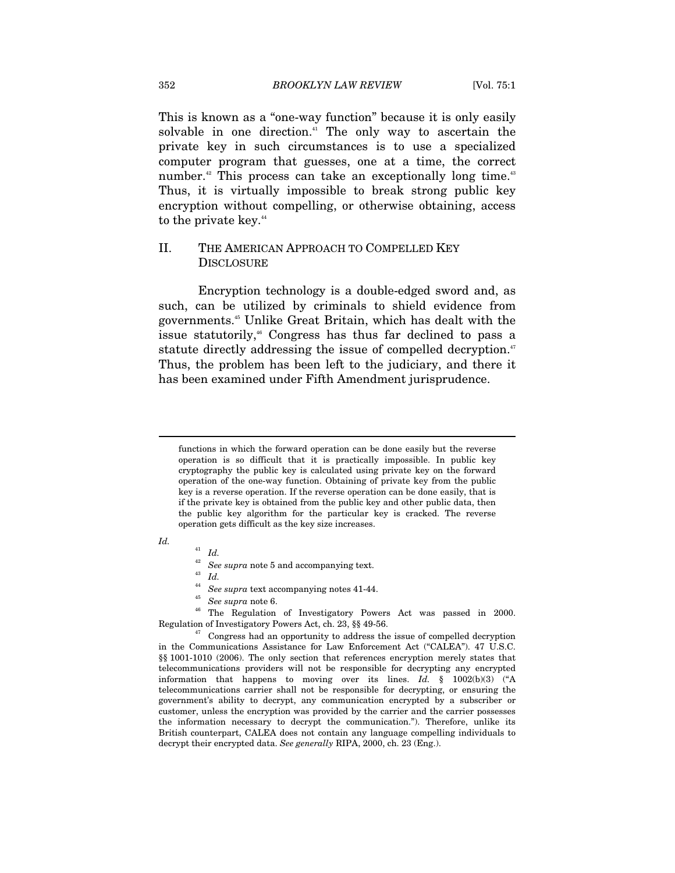This is known as a "one-way function" because it is only easily solvable in one direction.<sup>41</sup> The only way to ascertain the private key in such circumstances is to use a specialized computer program that guesses, one at a time, the correct number.<sup>42</sup> This process can take an exceptionally long time.<sup>43</sup> Thus, it is virtually impossible to break strong public key encryption without compelling, or otherwise obtaining, access to the private key.<sup>44</sup>

# II. THE AMERICAN APPROACH TO COMPELLED KEY **DISCLOSURE**

Encryption technology is a double-edged sword and, as such, can be utilized by criminals to shield evidence from governments.45 Unlike Great Britain, which has dealt with the issue statutorily,<sup>46</sup> Congress has thus far declined to pass a statute directly addressing the issue of compelled decryption.<sup>47</sup> Thus, the problem has been left to the judiciary, and there it has been examined under Fifth Amendment jurisprudence.

#### *Id.*

 $\overline{a}$ 

<sup>41</sup> *Id.*

- $\begin{array}{ll} ^{42} & \textit{See supra note 5 and accompanying text.} \\ ^{43} & \textit{Id.} \\ ^{44} & \textit{See supra text accompanying notes 41-44.} \end{array}$
- 

<sup>45</sup> See supra note 6.<br><sup>46</sup> The Regulation of Investigatory Powers Act was passed in 2000. Regulation of Investigatory Powers Act, ch. 23, §§ 49-56. 47 Congress had an opportunity to address the issue of compelled decryption

in the Communications Assistance for Law Enforcement Act ("CALEA"). 47 U.S.C. §§ 1001-1010 (2006). The only section that references encryption merely states that telecommunications providers will not be responsible for decrypting any encrypted information that happens to moving over its lines. *Id.* § 1002(b)(3) ("A telecommunications carrier shall not be responsible for decrypting, or ensuring the government's ability to decrypt, any communication encrypted by a subscriber or customer, unless the encryption was provided by the carrier and the carrier possesses the information necessary to decrypt the communication."). Therefore, unlike its British counterpart, CALEA does not contain any language compelling individuals to decrypt their encrypted data. *See generally* RIPA, 2000, ch. 23 (Eng.).

functions in which the forward operation can be done easily but the reverse operation is so difficult that it is practically impossible. In public key cryptography the public key is calculated using private key on the forward operation of the one-way function. Obtaining of private key from the public key is a reverse operation. If the reverse operation can be done easily, that is if the private key is obtained from the public key and other public data, then the public key algorithm for the particular key is cracked. The reverse operation gets difficult as the key size increases.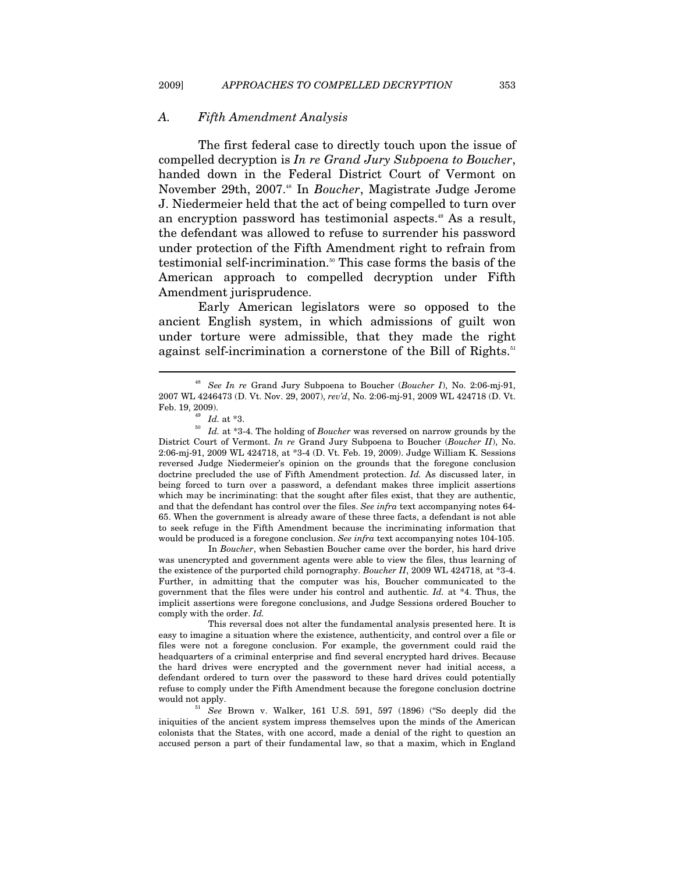#### *A. Fifth Amendment Analysis*

The first federal case to directly touch upon the issue of compelled decryption is *In re Grand Jury Subpoena to Boucher*, handed down in the Federal District Court of Vermont on November 29th, 2007.48 In *Boucher*, Magistrate Judge Jerome J. Niedermeier held that the act of being compelled to turn over an encryption password has testimonial aspects.<sup>49</sup> As a result, the defendant was allowed to refuse to surrender his password under protection of the Fifth Amendment right to refrain from testimonial self-incrimination.<sup>50</sup> This case forms the basis of the American approach to compelled decryption under Fifth Amendment jurisprudence.

Early American legislators were so opposed to the ancient English system, in which admissions of guilt won under torture were admissible, that they made the right against self-incrimination a cornerstone of the Bill of Rights.<sup>51</sup>

 $\overline{a}$ 

 In *Boucher*, when Sebastien Boucher came over the border, his hard drive was unencrypted and government agents were able to view the files, thus learning of the existence of the purported child pornography. *Boucher II*, 2009 WL 424718, at \*3-4. Further, in admitting that the computer was his, Boucher communicated to the government that the files were under his control and authentic. *Id.* at \*4. Thus, the implicit assertions were foregone conclusions, and Judge Sessions ordered Boucher to comply with the order. *Id.*

<sup>48</sup> *See In re* Grand Jury Subpoena to Boucher (*Boucher I*), No. 2:06-mj-91, 2007 WL 4246473 (D. Vt. Nov. 29, 2007), *rev'd*, No. 2:06-mj-91, 2009 WL 424718 (D. Vt.

Feb. 19, 2009).<br><sup>49</sup> *Id.* at \*3.<br><sup>50</sup> *Id.* at \*3-4. The holding of *Boucher* was reversed on narrow grounds by the District Court of Vermont. *In re* Grand Jury Subpoena to Boucher (*Boucher II*), No. 2:06-mj-91, 2009 WL 424718, at \*3-4 (D. Vt. Feb. 19, 2009). Judge William K. Sessions reversed Judge Niedermeier's opinion on the grounds that the foregone conclusion doctrine precluded the use of Fifth Amendment protection. *Id.* As discussed later, in being forced to turn over a password, a defendant makes three implicit assertions which may be incriminating: that the sought after files exist, that they are authentic, and that the defendant has control over the files. *See infra* text accompanying notes 64- 65. When the government is already aware of these three facts, a defendant is not able to seek refuge in the Fifth Amendment because the incriminating information that would be produced is a foregone conclusion. *See infra* text accompanying notes 104-105.

This reversal does not alter the fundamental analysis presented here. It is easy to imagine a situation where the existence, authenticity, and control over a file or files were not a foregone conclusion. For example, the government could raid the headquarters of a criminal enterprise and find several encrypted hard drives. Because the hard drives were encrypted and the government never had initial access, a defendant ordered to turn over the password to these hard drives could potentially refuse to comply under the Fifth Amendment because the foregone conclusion doctrine would not apply. 51 *See* Brown v. Walker, 161 U.S. 591, 597 (1896) ("So deeply did the

iniquities of the ancient system impress themselves upon the minds of the American colonists that the States, with one accord, made a denial of the right to question an accused person a part of their fundamental law, so that a maxim, which in England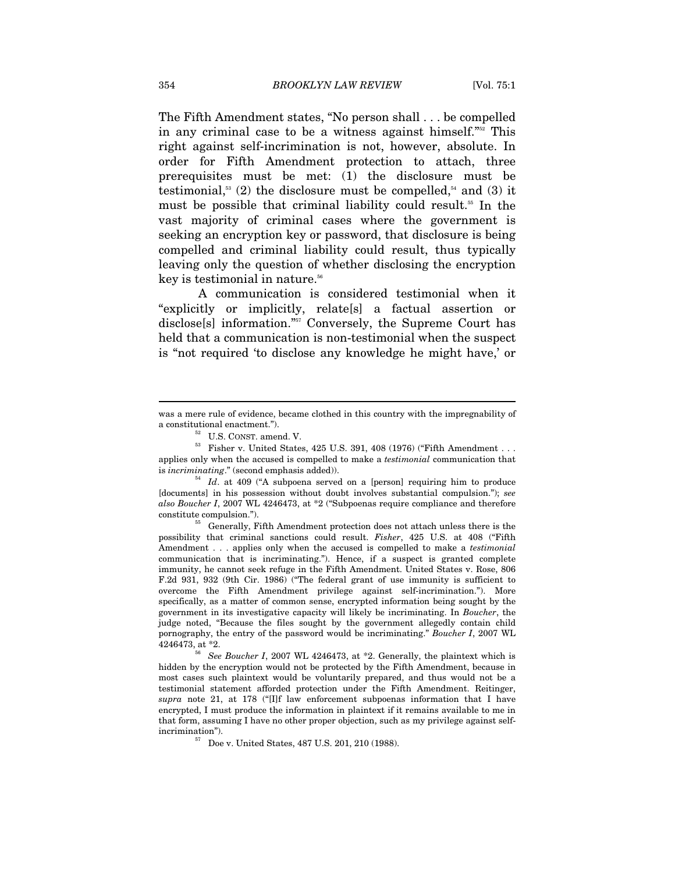The Fifth Amendment states, "No person shall . . . be compelled in any criminal case to be a witness against himself."52 This right against self-incrimination is not, however, absolute. In order for Fifth Amendment protection to attach, three prerequisites must be met: (1) the disclosure must be testimonial,<sup>53</sup> (2) the disclosure must be compelled,<sup>54</sup> and (3) it must be possible that criminal liability could result.<sup>55</sup> In the vast majority of criminal cases where the government is seeking an encryption key or password, that disclosure is being compelled and criminal liability could result, thus typically leaving only the question of whether disclosing the encryption key is testimonial in nature.56

A communication is considered testimonial when it "explicitly or implicitly, relate[s] a factual assertion or disclose[s] information."57 Conversely, the Supreme Court has held that a communication is non-testimonial when the suspect is "not required 'to disclose any knowledge he might have,' or

was a mere rule of evidence, became clothed in this country with the impregnability of

a constitutional enactment.").<br><sup>52</sup> U.S. CONST. amend. V.<br><sup>53</sup> Fisher v. United States, 425 U.S. 391, 408 (1976) ("Fifth Amendment . . . applies only when the accused is compelled to make a *testimonial* communication that

is *incriminating*." (second emphasis added)).  $1d$ . at 409 ("A subpoena served on a [person] requiring him to produce [documents] in his possession without doubt involves substantial compulsion."); *see also Boucher I*, 2007 WL 4246473, at \*2 ("Subpoenas require compliance and therefore constitute compulsion."). 55 Generally, Fifth Amendment protection does not attach unless there is the

possibility that criminal sanctions could result. *Fisher*, 425 U.S. at 408 ("Fifth Amendment . . . applies only when the accused is compelled to make a *testimonial*  communication that is incriminating."). Hence, if a suspect is granted complete immunity, he cannot seek refuge in the Fifth Amendment. United States v. Rose, 806 F.2d 931, 932 (9th Cir. 1986) ("The federal grant of use immunity is sufficient to overcome the Fifth Amendment privilege against self-incrimination."). More specifically, as a matter of common sense, encrypted information being sought by the government in its investigative capacity will likely be incriminating. In *Boucher*, the judge noted, "Because the files sought by the government allegedly contain child pornography, the entry of the password would be incriminating." *Boucher I*, 2007 WL 4246473, at \*2. 56 *See Boucher I*, 2007 WL 4246473, at \*2. Generally, the plaintext which is

hidden by the encryption would not be protected by the Fifth Amendment, because in most cases such plaintext would be voluntarily prepared, and thus would not be a testimonial statement afforded protection under the Fifth Amendment. Reitinger, *supra* note 21, at 178 ("[I]f law enforcement subpoenas information that I have encrypted, I must produce the information in plaintext if it remains available to me in that form, assuming I have no other proper objection, such as my privilege against selfincrimination"). 57 Doe v. United States, 487 U.S. 201, 210 (1988).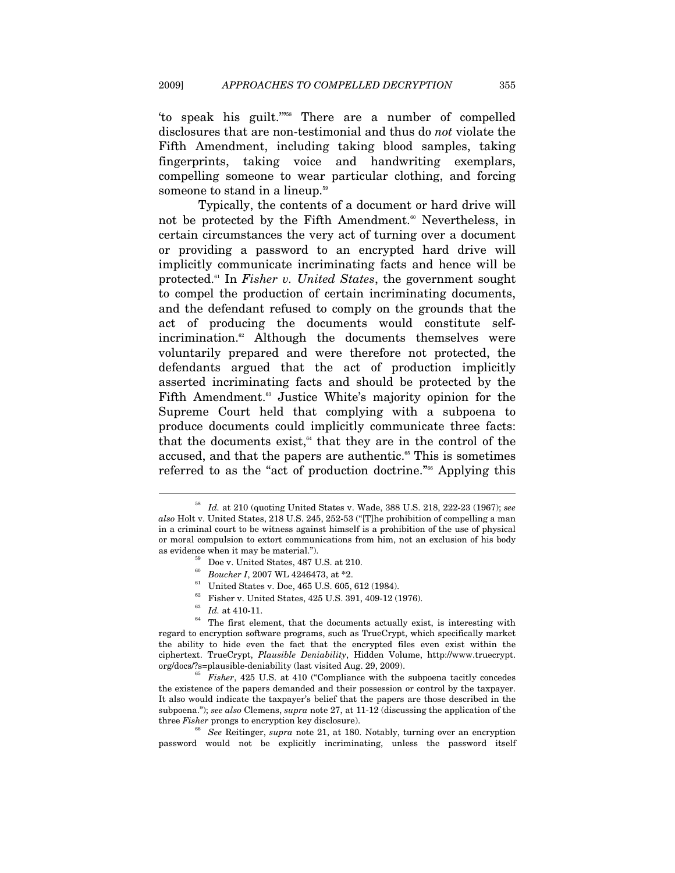'to speak his guilt.'"58 There are a number of compelled disclosures that are non-testimonial and thus do *not* violate the Fifth Amendment, including taking blood samples, taking fingerprints, taking voice and handwriting exemplars, compelling someone to wear particular clothing, and forcing someone to stand in a lineup.<sup>59</sup>

Typically, the contents of a document or hard drive will not be protected by the Fifth Amendment.<sup>60</sup> Nevertheless, in certain circumstances the very act of turning over a document or providing a password to an encrypted hard drive will implicitly communicate incriminating facts and hence will be protected.61 In *Fisher v. United States*, the government sought to compel the production of certain incriminating documents, and the defendant refused to comply on the grounds that the act of producing the documents would constitute selfincrimination.<sup>62</sup> Although the documents themselves were voluntarily prepared and were therefore not protected, the defendants argued that the act of production implicitly asserted incriminating facts and should be protected by the Fifth Amendment.<sup>63</sup> Justice White's majority opinion for the Supreme Court held that complying with a subpoena to produce documents could implicitly communicate three facts: that the documents exist, $64$  that they are in the control of the accused, and that the papers are authentic.<sup>65</sup> This is sometimes referred to as the "act of production doctrine."<sup>66</sup> Applying this

- $^{62}$  Fisher v. United States, 425 U.S. 391, 409-12 (1976).  $^{63}$   $\,$   $Id.$  at 410-11.
- 

<sup>58</sup> *Id.* at 210 (quoting United States v. Wade, 388 U.S. 218, 222-23 (1967); *see also* Holt v. United States, 218 U.S. 245, 252-53 ("[T]he prohibition of compelling a man in a criminal court to be witness against himself is a prohibition of the use of physical or moral compulsion to extort communications from him, not an exclusion of his body as evidence when it may be material.").<br><sup>59</sup> Doe v. United States, 487 U.S. at 210.<br><sup>60</sup> Boucher I, 2007 WL 4246473, at \*2.<br><sup>61</sup> United States v. Doe, 465 U.S. 605, 612 (1984).

 $64$  The first element, that the documents actually exist, is interesting with regard to encryption software programs, such as TrueCrypt, which specifically market the ability to hide even the fact that the encrypted files even exist within the ciphertext. TrueCrypt, *Plausible Deniability*, Hidden Volume, http://www.truecrypt. org/docs/?s=plausible-deniability (last visited Aug. 29, 2009). 65 *Fisher*, 425 U.S. at 410 ("Compliance with the subpoena tacitly concedes

the existence of the papers demanded and their possession or control by the taxpayer. It also would indicate the taxpayer's belief that the papers are those described in the subpoena."); *see also* Clemens, *supra* note 27, at 11-12 (discussing the application of the three *Fisher* prongs to encryption key disclosure). 66 *See* Reitinger, *supra* note 21, at 180. Notably, turning over an encryption

password would not be explicitly incriminating, unless the password itself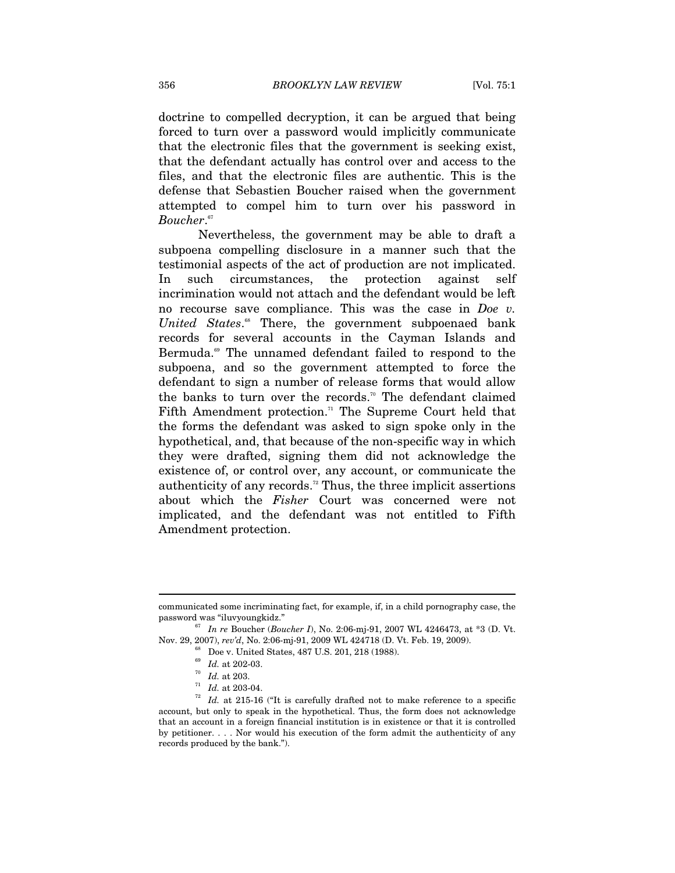doctrine to compelled decryption, it can be argued that being forced to turn over a password would implicitly communicate that the electronic files that the government is seeking exist, that the defendant actually has control over and access to the files, and that the electronic files are authentic. This is the defense that Sebastien Boucher raised when the government attempted to compel him to turn over his password in *Boucher*. 67

Nevertheless, the government may be able to draft a subpoena compelling disclosure in a manner such that the testimonial aspects of the act of production are not implicated. In such circumstances, the protection against self incrimination would not attach and the defendant would be left no recourse save compliance. This was the case in *Doe v. United States*. 68 There, the government subpoenaed bank records for several accounts in the Cayman Islands and Bermuda.<sup>69</sup> The unnamed defendant failed to respond to the subpoena, and so the government attempted to force the defendant to sign a number of release forms that would allow the banks to turn over the records.<sup>70</sup> The defendant claimed Fifth Amendment protection.<sup> $n$ </sup> The Supreme Court held that the forms the defendant was asked to sign spoke only in the hypothetical, and, that because of the non-specific way in which they were drafted, signing them did not acknowledge the existence of, or control over, any account, or communicate the authenticity of any records.<sup>72</sup> Thus, the three implicit assertions about which the *Fisher* Court was concerned were not implicated, and the defendant was not entitled to Fifth Amendment protection.

communicated some incriminating fact, for example, if, in a child pornography case, the

<sup>&</sup>lt;sup>67</sup> *In re* Boucher (*Boucher I*), No. 2:06-mj-91, 2007 WL 4246473, at \*3 (D. Vt. Nov. 29, 2007), *rev'd*, No. 2:06-mj-91, 2009 WL 424718 (D. Vt. Feb. 19, 2009).<br><sup>68</sup> Doe v. United States, 487 U.S. 201, 218 (1988).<br><sup>69</sup> Id. at 202-03.

<sup>&</sup>lt;sup>70</sup> Id. at 203.<br><sup>71</sup> Id. at 203-04.<br><sup>72</sup> Id. at 215-16 ("It is carefully drafted not to make reference to a specific account, but only to speak in the hypothetical. Thus, the form does not acknowledge that an account in a foreign financial institution is in existence or that it is controlled by petitioner. . . . Nor would his execution of the form admit the authenticity of any records produced by the bank.").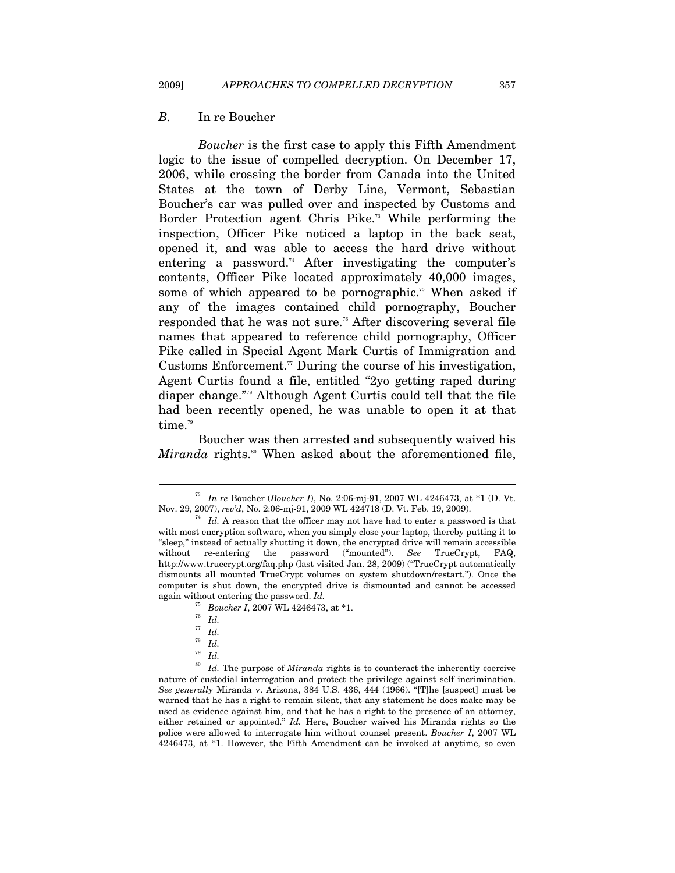#### *B.* In re Boucher

*Boucher* is the first case to apply this Fifth Amendment logic to the issue of compelled decryption. On December 17, 2006, while crossing the border from Canada into the United States at the town of Derby Line, Vermont, Sebastian Boucher's car was pulled over and inspected by Customs and Border Protection agent Chris Pike.<sup>73</sup> While performing the inspection, Officer Pike noticed a laptop in the back seat, opened it, and was able to access the hard drive without entering a password.<sup>74</sup> After investigating the computer's contents, Officer Pike located approximately 40,000 images, some of which appeared to be pornographic.<sup> $55$ </sup> When asked if any of the images contained child pornography, Boucher responded that he was not sure.<sup>76</sup> After discovering several file names that appeared to reference child pornography, Officer Pike called in Special Agent Mark Curtis of Immigration and Customs Enforcement.<sup> $\pi$ </sup> During the course of his investigation, Agent Curtis found a file, entitled "2yo getting raped during diaper change."78 Although Agent Curtis could tell that the file had been recently opened, he was unable to open it at that time.<sup>79</sup>

Boucher was then arrested and subsequently waived his *Miranda* rights.<sup>80</sup> When asked about the aforementioned file,

<sup>73</sup> *In re* Boucher (*Boucher I*), No. 2:06-mj-91, 2007 WL 4246473, at \*1 (D. Vt. Nov. 29, 2007), *rev'd*, No. 2:06-mj-91, 2009 WL 424718 (D. Vt. Feb. 19, 2009). 74 *Id.* A reason that the officer may not have had to enter a password is that

with most encryption software, when you simply close your laptop, thereby putting it to "sleep," instead of actually shutting it down, the encrypted drive will remain accessible without re-entering the password ("mounted"). *See* TrueCrypt, FAQ, http://www.truecrypt.org/faq.php (last visited Jan. 28, 2009) ("TrueCrypt automatically dismounts all mounted TrueCrypt volumes on system shutdown/restart."). Once the computer is shut down, the encrypted drive is dismounted and cannot be accessed again without entering the password. *Id.*

<sup>75</sup> *Boucher I*, 2007 WL 4246473, at \*1. 76 *Id.*

<sup>77</sup> *Id.*

 $rac{78}{79}$  *Id.* 

<sup>79</sup> *Id.*

<sup>80</sup> *Id.* The purpose of *Miranda* rights is to counteract the inherently coercive nature of custodial interrogation and protect the privilege against self incrimination. *See generally* Miranda v. Arizona, 384 U.S. 436, 444 (1966). "[T]he [suspect] must be warned that he has a right to remain silent, that any statement he does make may be used as evidence against him, and that he has a right to the presence of an attorney, either retained or appointed." *Id.* Here, Boucher waived his Miranda rights so the police were allowed to interrogate him without counsel present. *Boucher I*, 2007 WL 4246473, at \*1. However, the Fifth Amendment can be invoked at anytime, so even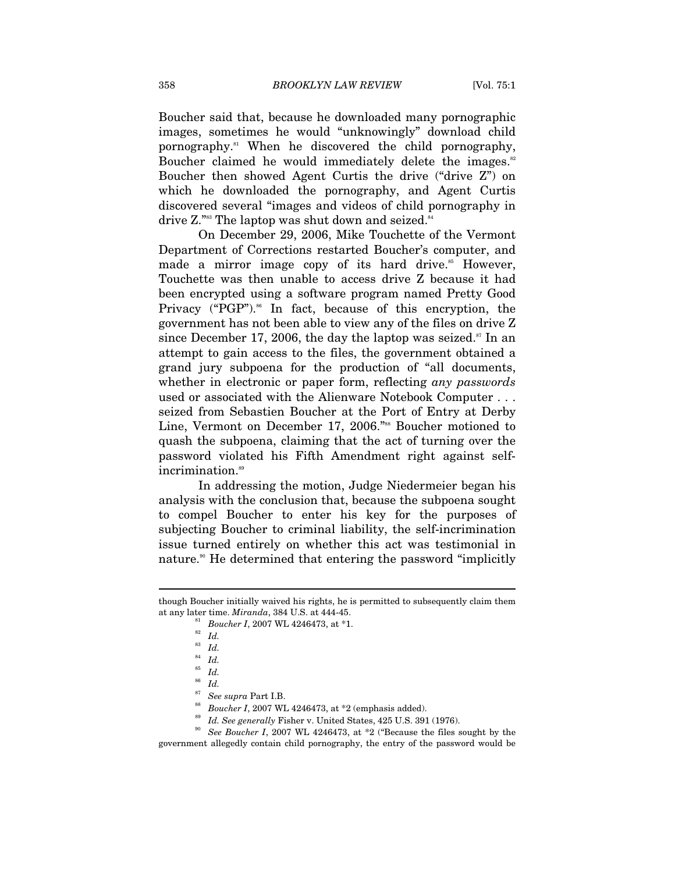Boucher said that, because he downloaded many pornographic images, sometimes he would "unknowingly" download child pornography.81 When he discovered the child pornography, Boucher claimed he would immediately delete the images.<sup>82</sup> Boucher then showed Agent Curtis the drive ("drive Z") on which he downloaded the pornography, and Agent Curtis discovered several "images and videos of child pornography in drive Z."<sup>88</sup> The laptop was shut down and seized.<sup>84</sup>

On December 29, 2006, Mike Touchette of the Vermont Department of Corrections restarted Boucher's computer, and made a mirror image copy of its hard drive.<sup>85</sup> However, Touchette was then unable to access drive Z because it had been encrypted using a software program named Pretty Good Privacy ("PGP"). $\text{86}$  In fact, because of this encryption, the government has not been able to view any of the files on drive Z since December 17, 2006, the day the laptop was seized.<sup>87</sup> In an attempt to gain access to the files, the government obtained a grand jury subpoena for the production of "all documents, whether in electronic or paper form, reflecting *any passwords* used or associated with the Alienware Notebook Computer . . . seized from Sebastien Boucher at the Port of Entry at Derby Line, Vermont on December 17, 2006."<sup>88</sup> Boucher motioned to quash the subpoena, claiming that the act of turning over the password violated his Fifth Amendment right against selfincrimination.<sup>89</sup>

In addressing the motion, Judge Niedermeier began his analysis with the conclusion that, because the subpoena sought to compel Boucher to enter his key for the purposes of subjecting Boucher to criminal liability, the self-incrimination issue turned entirely on whether this act was testimonial in nature.<sup>90</sup> He determined that entering the password "implicitly"

though Boucher initially waived his rights, he is permitted to subsequently claim them<br>at any later time.  $Miranda$ , 384 U.S. at 444-45.

<sup>&</sup>lt;sup>81</sup> Boucher I, 2007 WL 4246473, at \*1.<br><sup>82</sup> Id.<br><sup>83</sup> *L* 

 $\frac{83}{84}$  *Id.* 

 $rac{84}{85}$  *Id.* 

 $rac{85}{86}$  *Id.* 

<sup>&</sup>lt;sup>86</sup> Id.<br><sup>87</sup> See supra Part I.B.

 $^{88}$  Boucher I, 2007 WL 4246473, at \*2 (emphasis added).<br> $^{89}$  Id. See generally Fisher v. United States, 425 U.S. 391 (1976).<br> $^{89}$  See Boucher I, 2007 WL 4246473, at \*2 ("Because the files sought by the government allegedly contain child pornography, the entry of the password would be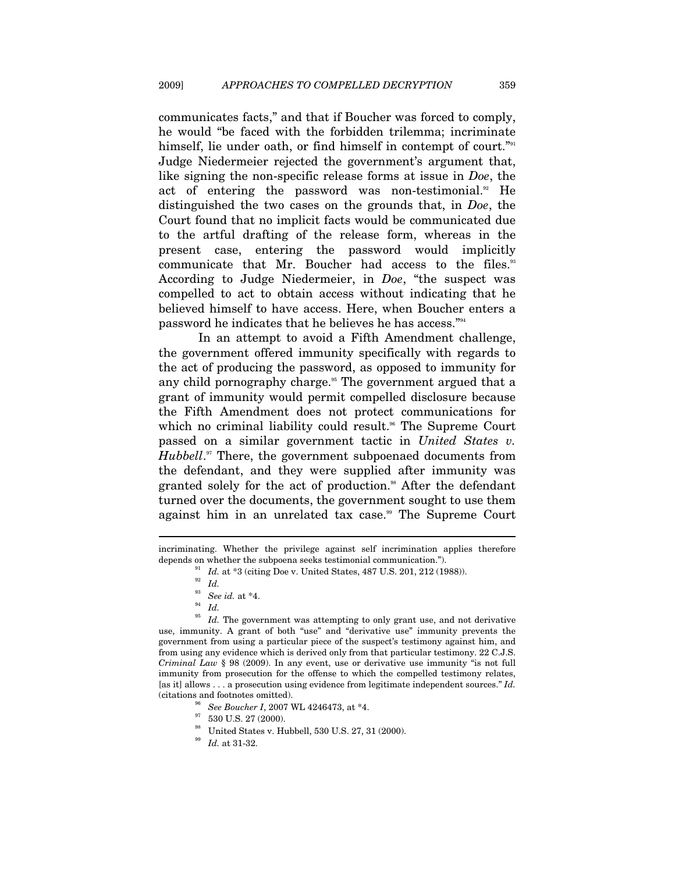communicates facts," and that if Boucher was forced to comply, he would "be faced with the forbidden trilemma; incriminate himself, lie under oath, or find himself in contempt of court."<sup>91</sup> Judge Niedermeier rejected the government's argument that, like signing the non-specific release forms at issue in *Doe*, the act of entering the password was non-testimonial.<sup>92</sup> He distinguished the two cases on the grounds that, in *Doe*, the Court found that no implicit facts would be communicated due to the artful drafting of the release form, whereas in the present case, entering the password would implicitly communicate that Mr. Boucher had access to the files.<sup>33</sup> According to Judge Niedermeier, in *Doe*, "the suspect was compelled to act to obtain access without indicating that he believed himself to have access. Here, when Boucher enters a password he indicates that he believes he has access."94

In an attempt to avoid a Fifth Amendment challenge, the government offered immunity specifically with regards to the act of producing the password, as opposed to immunity for any child pornography charge.<sup>95</sup> The government argued that a grant of immunity would permit compelled disclosure because the Fifth Amendment does not protect communications for which no criminal liability could result.<sup>96</sup> The Supreme Court passed on a similar government tactic in *United States v. Hubbell*.<sup>97</sup> There, the government subpoenaed documents from the defendant, and they were supplied after immunity was granted solely for the act of production.<sup>98</sup> After the defendant turned over the documents, the government sought to use them against him in an unrelated tax case.<sup>99</sup> The Supreme Court

incriminating. Whether the privilege against self incrimination applies therefore depends on whether the subpoena seeks testimonial communication.").<br><sup>91</sup> *Id.* at \*3 (citing Doe v. United States, 487 U.S. 201, 212 (1988)).<br><sup>92</sup> *Id.* 

- 
- 
- <sup>93</sup> *See id.* at \*4.<br><sup>94</sup> *Id.*<br><sup>95</sup> *Id.* The many
- 

 $\overline{a}$ 

Id. The government was attempting to only grant use, and not derivative use, immunity. A grant of both "use" and "derivative use" immunity prevents the government from using a particular piece of the suspect's testimony against him, and from using any evidence which is derived only from that particular testimony. 22 C.J.S. *Criminal Law* § 98 (2009). In any event, use or derivative use immunity "is not full immunity from prosecution for the offense to which the compelled testimony relates, [as it] allows . . . a prosecution using evidence from legitimate independent sources." *Id.* % (citations and footnotes omitted). <br><sup>96</sup> See Boucher I, 2007 WL 4246473, at \*4. <br><sup>97</sup> 530 U.S. 27 (2000).

- 
- 
- $\stackrel{98}{\substack{99 \quad 1d.}}$  United States v. Hubbell, 530 U.S. 27, 31 (2000).
-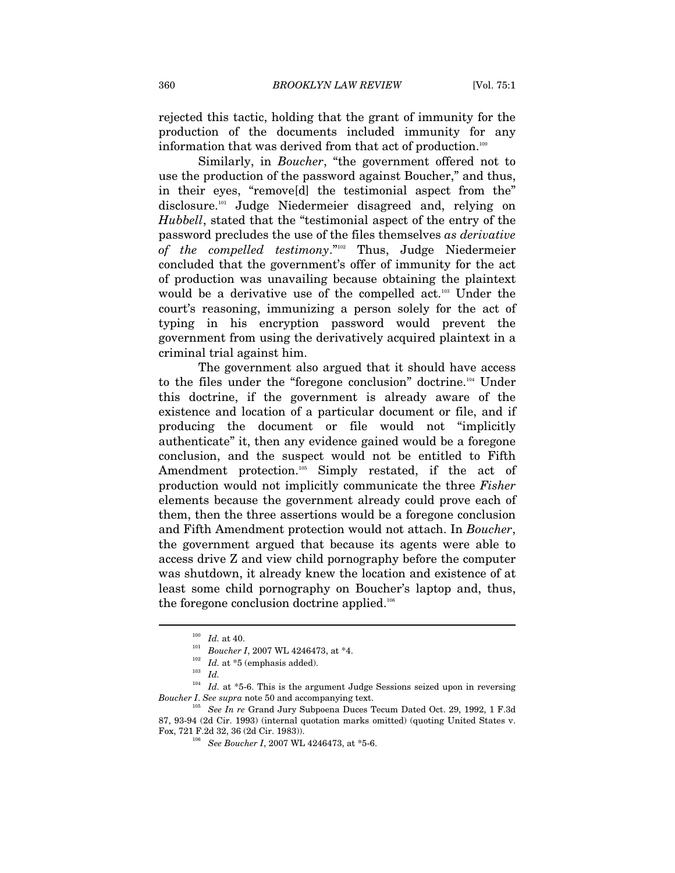rejected this tactic, holding that the grant of immunity for the production of the documents included immunity for any information that was derived from that act of production.<sup>100</sup>

Similarly, in *Boucher*, "the government offered not to use the production of the password against Boucher," and thus, in their eyes, "remove[d] the testimonial aspect from the" disclosure.101 Judge Niedermeier disagreed and, relying on *Hubbell*, stated that the "testimonial aspect of the entry of the password precludes the use of the files themselves *as derivative of the compelled testimony*."102 Thus, Judge Niedermeier concluded that the government's offer of immunity for the act of production was unavailing because obtaining the plaintext would be a derivative use of the compelled act.103 Under the court's reasoning, immunizing a person solely for the act of typing in his encryption password would prevent the government from using the derivatively acquired plaintext in a criminal trial against him.

The government also argued that it should have access to the files under the "foregone conclusion" doctrine.<sup>104</sup> Under this doctrine, if the government is already aware of the existence and location of a particular document or file, and if producing the document or file would not "implicitly authenticate" it, then any evidence gained would be a foregone conclusion, and the suspect would not be entitled to Fifth Amendment protection.<sup>105</sup> Simply restated, if the act of production would not implicitly communicate the three *Fisher* elements because the government already could prove each of them, then the three assertions would be a foregone conclusion and Fifth Amendment protection would not attach. In *Boucher*, the government argued that because its agents were able to access drive Z and view child pornography before the computer was shutdown, it already knew the location and existence of at least some child pornography on Boucher's laptop and, thus, the foregone conclusion doctrine applied.<sup>106</sup>

<sup>&</sup>lt;sup>100</sup> *Id.* at 40.<br>
<sup>101</sup> *Boucher I*, 2007 WL 4246473, at \*4.<br>
<sup>102</sup> *Id.* at \*5 (emphasis added).<br> *Id.* 

<sup>&</sup>lt;sup>104</sup> Id. at \*5-6. This is the argument Judge Sessions seized upon in reversing *Boucher I*. *See supra* note 50 and accompanying text. 105 *See In re* Grand Jury Subpoena Duces Tecum Dated Oct. 29, 1992, 1 F.3d

<sup>87, 93-94 (2</sup>d Cir. 1993) (internal quotation marks omitted) (quoting United States v. Fox, 721 F.2d 32, 36 (2d Cir. 1983)). 106 *See Boucher I*, 2007 WL 4246473, at \*5-6.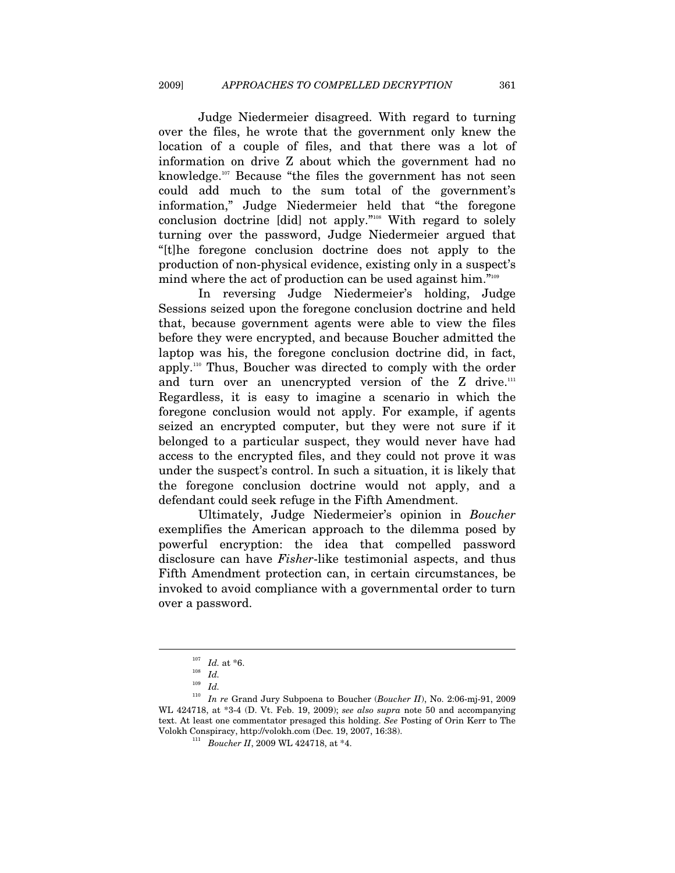Judge Niedermeier disagreed. With regard to turning over the files, he wrote that the government only knew the location of a couple of files, and that there was a lot of information on drive Z about which the government had no knowledge.<sup>107</sup> Because "the files the government has not seen could add much to the sum total of the government's information," Judge Niedermeier held that "the foregone conclusion doctrine [did] not apply."108 With regard to solely turning over the password, Judge Niedermeier argued that "[t]he foregone conclusion doctrine does not apply to the production of non-physical evidence, existing only in a suspect's mind where the act of production can be used against him."109

In reversing Judge Niedermeier's holding, Judge Sessions seized upon the foregone conclusion doctrine and held that, because government agents were able to view the files before they were encrypted, and because Boucher admitted the laptop was his, the foregone conclusion doctrine did, in fact, apply.110 Thus, Boucher was directed to comply with the order and turn over an unencrypted version of the  $Z$  drive.<sup>111</sup> Regardless, it is easy to imagine a scenario in which the foregone conclusion would not apply. For example, if agents seized an encrypted computer, but they were not sure if it belonged to a particular suspect, they would never have had access to the encrypted files, and they could not prove it was under the suspect's control. In such a situation, it is likely that the foregone conclusion doctrine would not apply, and a defendant could seek refuge in the Fifth Amendment.

Ultimately, Judge Niedermeier's opinion in *Boucher* exemplifies the American approach to the dilemma posed by powerful encryption: the idea that compelled password disclosure can have *Fisher*-like testimonial aspects, and thus Fifth Amendment protection can, in certain circumstances, be invoked to avoid compliance with a governmental order to turn over a password.

<sup>107</sup> *Id.* at \*6. 108 *Id.*

<sup>109</sup> *Id.*

<sup>110</sup> *In re* Grand Jury Subpoena to Boucher (*Boucher II*), No. 2:06-mj-91, 2009 WL 424718, at \*3-4 (D. Vt. Feb. 19, 2009); *see also supra* note 50 and accompanying text. At least one commentator presaged this holding. *See* Posting of Orin Kerr to The Volokh Conspiracy, http://volokh.com (Dec. 19, 2007, 16:38). 111 *Boucher II*, 2009 WL 424718, at \*4.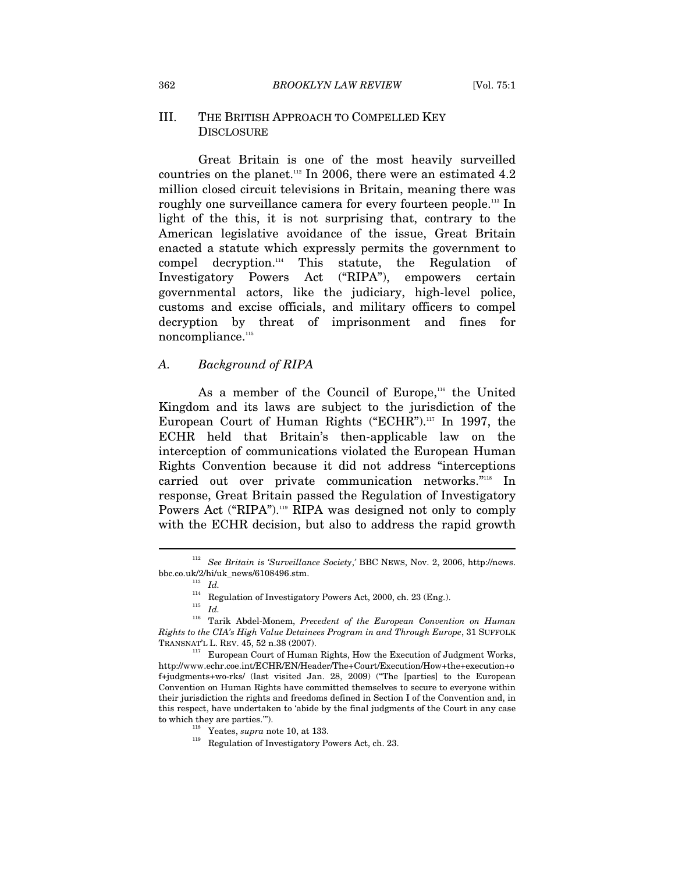#### III. THE BRITISH APPROACH TO COMPELLED KEY **DISCLOSURE**

Great Britain is one of the most heavily surveilled countries on the planet.<sup>112</sup> In 2006, there were an estimated  $4.2$ million closed circuit televisions in Britain, meaning there was roughly one surveillance camera for every fourteen people.<sup>113</sup> In light of the this, it is not surprising that, contrary to the American legislative avoidance of the issue, Great Britain enacted a statute which expressly permits the government to compel decryption. $n_{\text{14}}$  This statute, the Regulation of Investigatory Powers Act ("RIPA"), empowers certain governmental actors, like the judiciary, high-level police, customs and excise officials, and military officers to compel decryption by threat of imprisonment and fines for noncompliance.<sup>115</sup>

#### *A. Background of RIPA*

As a member of the Council of Europe,<sup>116</sup> the United Kingdom and its laws are subject to the jurisdiction of the European Court of Human Rights ("ECHR").<sup>117</sup> In 1997, the ECHR held that Britain's then-applicable law on the interception of communications violated the European Human Rights Convention because it did not address "interceptions carried out over private communication networks."118 In response, Great Britain passed the Regulation of Investigatory Powers Act ("RIPA").<sup>119</sup> RIPA was designed not only to comply with the ECHR decision, but also to address the rapid growth

<sup>112</sup> *See Britain is 'Surveillance Society*,*'* BBC NEWS, Nov. 2, 2006, http://news. bbc.co.uk/2/hi/uk\_news/6108496.stm. 113 *Id.*

 $114$  Regulation of Investigatory Powers Act, 2000, ch. 23 (Eng.).  $115$   $\:$   $\:$   $\,$   $\,$   $\,$   $\,$   $\,$ 

<sup>116</sup> Tarik Abdel-Monem, *Precedent of the European Convention on Human Rights to the CIA's High Value Detainees Program in and Through Europe*, 31 SUFFOLK TRANSNAT'L L. REV. 45, 52 n.38 (2007). 117 European Court of Human Rights, How the Execution of Judgment Works,

http://www.echr.coe.int/ECHR/EN/Header/The+Court/Execution/How+the+execution+o f+judgments+wo-rks/ (last visited Jan. 28, 2009) ("The [parties] to the European Convention on Human Rights have committed themselves to secure to everyone within their jurisdiction the rights and freedoms defined in Section I of the Convention and, in this respect, have undertaken to 'abide by the final judgments of the Court in any case to which they are parties.""). <br><sup>118</sup> Yeates, *supra* note 10, at 133.<br><sup>119</sup> Regulation of Investigatory Powers Act, ch. 23.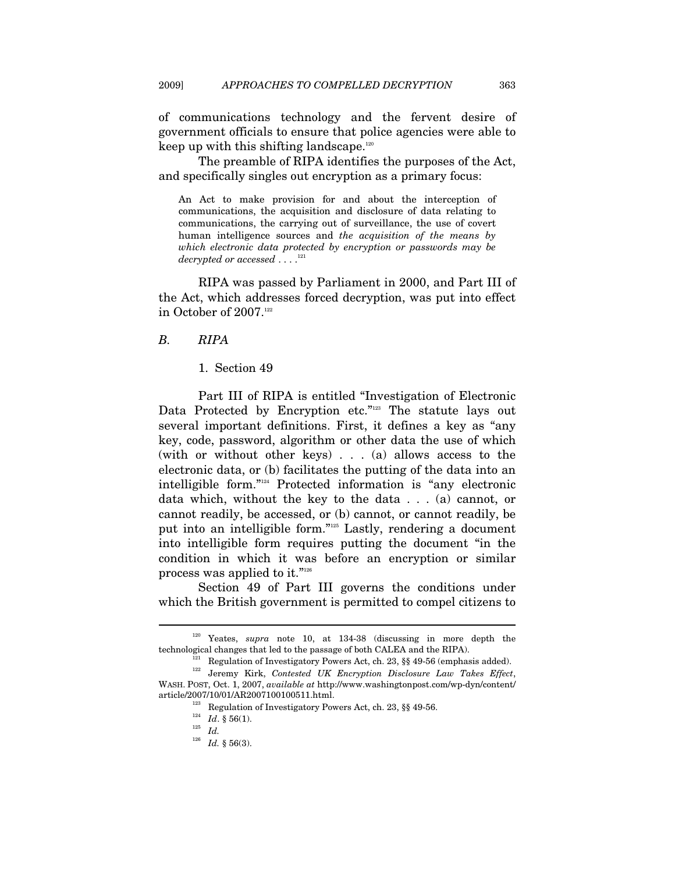of communications technology and the fervent desire of government officials to ensure that police agencies were able to keep up with this shifting landscape. $120$ 

The preamble of RIPA identifies the purposes of the Act, and specifically singles out encryption as a primary focus:

An Act to make provision for and about the interception of communications, the acquisition and disclosure of data relating to communications, the carrying out of surveillance, the use of covert human intelligence sources and *the acquisition of the means by which electronic data protected by encryption or passwords may be decrypted or accessed* . . . .<sup>121</sup>

RIPA was passed by Parliament in 2000, and Part III of the Act, which addresses forced decryption, was put into effect in October of 2007.<sup>122</sup>

#### *B. RIPA*

1. Section 49

Part III of RIPA is entitled "Investigation of Electronic Data Protected by Encryption etc."<sup>123</sup> The statute lays out several important definitions. First, it defines a key as "any key, code, password, algorithm or other data the use of which (with or without other keys) . . . (a) allows access to the electronic data, or (b) facilitates the putting of the data into an intelligible form."124 Protected information is "any electronic data which, without the key to the data . . . (a) cannot, or cannot readily, be accessed, or (b) cannot, or cannot readily, be put into an intelligible form."125 Lastly, rendering a document into intelligible form requires putting the document "in the condition in which it was before an encryption or similar process was applied to it."126

Section 49 of Part III governs the conditions under which the British government is permitted to compel citizens to

<sup>120</sup> Yeates, *supra* note 10, at 134-38 (discussing in more depth the technological changes that led to the passage of both CALEA and the RIPA).<br><sup>121</sup> Regulation of Investigatory Powers Act, ch. 23, §§ 49-56 (emphasis added).

<sup>122</sup> Jeremy Kirk, *Contested UK Encryption Disclosure Law Takes Effect*, WASH. POST, Oct. 1, 2007, *available at* http://www.washingtonpost.com/wp-dyn/content/ article/2007/10/01/AR2007100100511.html.<br><sup>123</sup> Regulation of Investigatory Powers Act, ch. 23, §§ 49-56.<br><sup>124</sup> *Id*. § 56(1).<br>*Id.* 

<sup>126</sup> *Id.* § 56(3).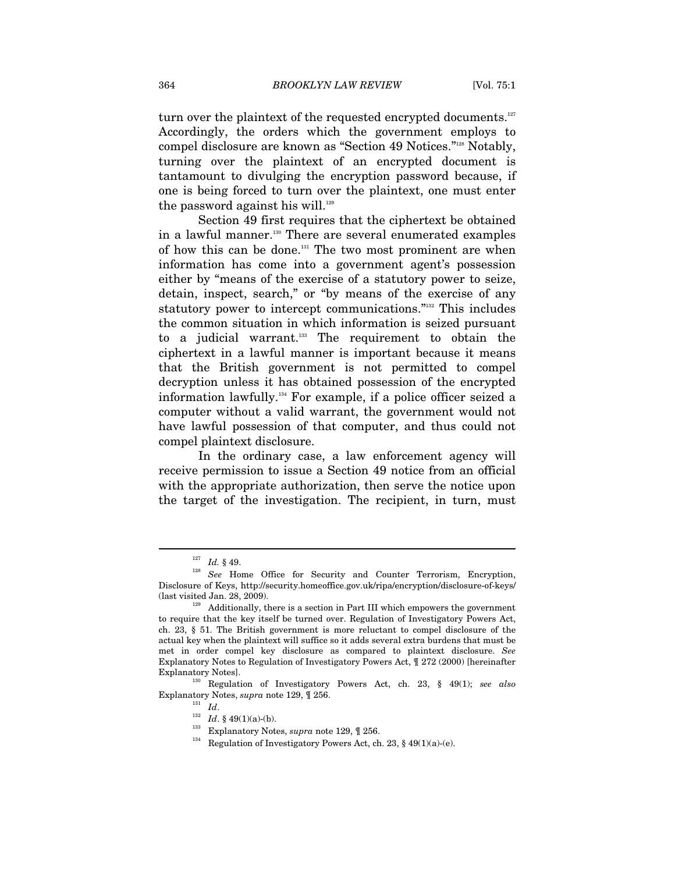turn over the plaintext of the requested encrypted documents. $127$ Accordingly, the orders which the government employs to compel disclosure are known as "Section 49 Notices."128 Notably, turning over the plaintext of an encrypted document is tantamount to divulging the encryption password because, if one is being forced to turn over the plaintext, one must enter the password against his will.<sup>129</sup>

Section 49 first requires that the ciphertext be obtained in a lawful manner.<sup>130</sup> There are several enumerated examples of how this can be done.131 The two most prominent are when information has come into a government agent's possession either by "means of the exercise of a statutory power to seize, detain, inspect, search," or "by means of the exercise of any statutory power to intercept communications."<sup>132</sup> This includes the common situation in which information is seized pursuant to a judicial warrant.<sup>133</sup> The requirement to obtain the ciphertext in a lawful manner is important because it means that the British government is not permitted to compel decryption unless it has obtained possession of the encrypted information lawfully.134 For example, if a police officer seized a computer without a valid warrant, the government would not have lawful possession of that computer, and thus could not compel plaintext disclosure.

In the ordinary case, a law enforcement agency will receive permission to issue a Section 49 notice from an official with the appropriate authorization, then serve the notice upon the target of the investigation. The recipient, in turn, must

 $\overline{a}$ 

Explanatory Notes, *supra* note 129,  $\parallel$  256.<br><sup>131</sup> *Id.*  $\parallel$  49(1)(a)-(b).<br><sup>133</sup> Explanatory Notes, *supra* note 129,  $\parallel$  256.<br><sup>134</sup> Regulation of Investigatory Powers Act, ch. 23, § 49(1)(a)-(e).

 $127$   $Id.$   $\S$   $49.$   $128$   $See$  Home Office for Security and Counter Terrorism, Encryption, Disclosure of Keys, http://security.homeoffice.gov.uk/ripa/encryption/disclosure-of-keys/ (last visited Jan. 28, 2009).  $129$  Additionally, there is a section in Part III which empowers the government

to require that the key itself be turned over. Regulation of Investigatory Powers Act, ch. 23, § 51. The British government is more reluctant to compel disclosure of the actual key when the plaintext will suffice so it adds several extra burdens that must be met in order compel key disclosure as compared to plaintext disclosure. *See* Explanatory Notes to Regulation of Investigatory Powers Act, ¶ 272 (2000) [hereinafter Explanatory Notes]. 130 Regulation of Investigatory Powers Act, ch. 23, § 49(1); *see also*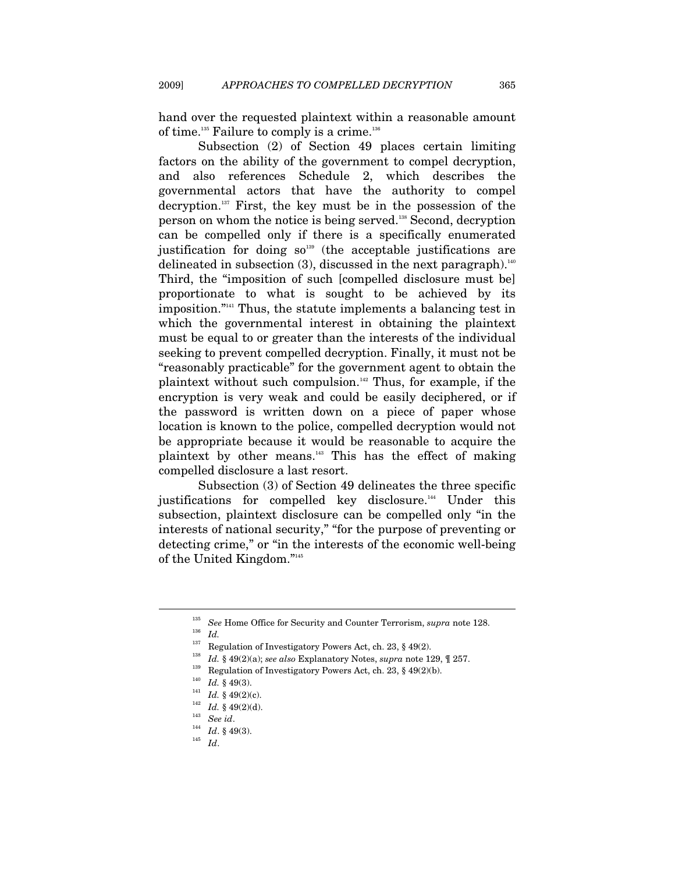hand over the requested plaintext within a reasonable amount of time.<sup>135</sup> Failure to comply is a crime.<sup>136</sup>

Subsection (2) of Section 49 places certain limiting factors on the ability of the government to compel decryption, and also references Schedule 2, which describes the governmental actors that have the authority to compel decryption.137 First, the key must be in the possession of the person on whom the notice is being served.138 Second, decryption can be compelled only if there is a specifically enumerated justification for doing  $so^{139}$  (the acceptable justifications are delineated in subsection  $(3)$ , discussed in the next paragraph).<sup>140</sup> Third, the "imposition of such [compelled disclosure must be] proportionate to what is sought to be achieved by its imposition."141 Thus, the statute implements a balancing test in which the governmental interest in obtaining the plaintext must be equal to or greater than the interests of the individual seeking to prevent compelled decryption. Finally, it must not be "reasonably practicable" for the government agent to obtain the plaintext without such compulsion.142 Thus, for example, if the encryption is very weak and could be easily deciphered, or if the password is written down on a piece of paper whose location is known to the police, compelled decryption would not be appropriate because it would be reasonable to acquire the plaintext by other means.143 This has the effect of making compelled disclosure a last resort.

Subsection (3) of Section 49 delineates the three specific justifications for compelled key disclosure.<sup>144</sup> Under this subsection, plaintext disclosure can be compelled only "in the interests of national security," "for the purpose of preventing or detecting crime," or "in the interests of the economic well-being of the United Kingdom."145

<sup>&</sup>lt;sup>135</sup> See Home Office for Security and Counter Terrorism, *supra* note 128.<br><sup>136</sup> Id.

<sup>&</sup>lt;sup>137</sup> Regulation of Investigatory Powers Act, ch. 23, § 49(2).<br><sup>138</sup> Id. § 49(2)(a); *see also* Explanatory Notes, *supra* note 129,  $[$  257.<br><sup>139</sup> Regulation of Investigatory Powers Act, ch. 23, § 49(2)(b).<br><sup>140</sup> Id. § 4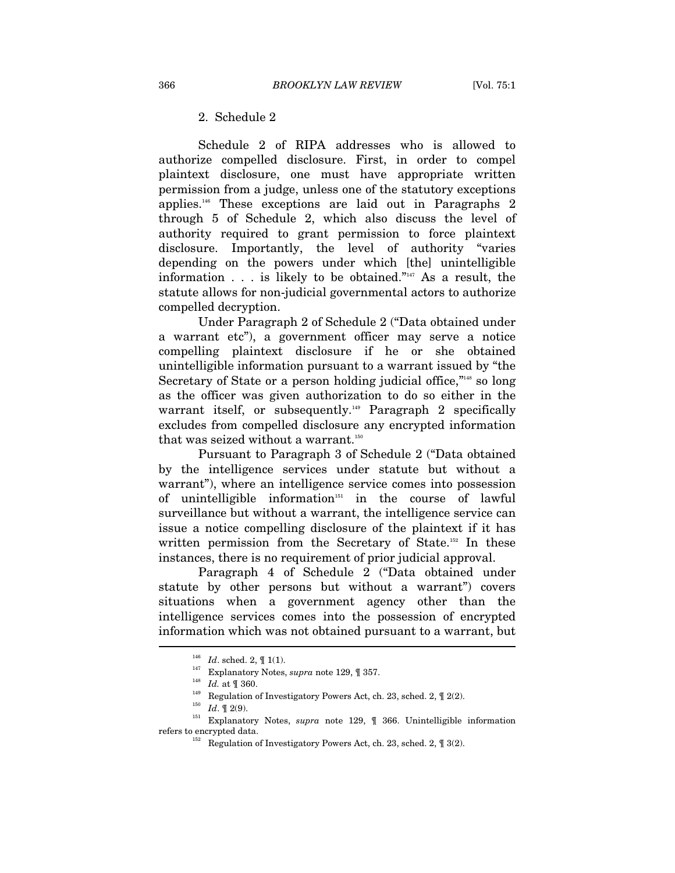# 2. Schedule 2

Schedule 2 of RIPA addresses who is allowed to authorize compelled disclosure. First, in order to compel plaintext disclosure, one must have appropriate written permission from a judge, unless one of the statutory exceptions applies.146 These exceptions are laid out in Paragraphs 2 through 5 of Schedule 2, which also discuss the level of authority required to grant permission to force plaintext disclosure. Importantly, the level of authority "varies depending on the powers under which [the] unintelligible information  $\ldots$  is likely to be obtained."<sup>147</sup> As a result, the statute allows for non-judicial governmental actors to authorize compelled decryption.

Under Paragraph 2 of Schedule 2 ("Data obtained under a warrant etc"), a government officer may serve a notice compelling plaintext disclosure if he or she obtained unintelligible information pursuant to a warrant issued by "the Secretary of State or a person holding judicial office,<sup>"148</sup> so long as the officer was given authorization to do so either in the warrant itself, or subsequently.<sup>149</sup> Paragraph 2 specifically excludes from compelled disclosure any encrypted information that was seized without a warrant.<sup>150</sup>

Pursuant to Paragraph 3 of Schedule 2 ("Data obtained by the intelligence services under statute but without a warrant"), where an intelligence service comes into possession of unintelligible information<sup>151</sup> in the course of lawful surveillance but without a warrant, the intelligence service can issue a notice compelling disclosure of the plaintext if it has written permission from the Secretary of State.<sup>152</sup> In these instances, there is no requirement of prior judicial approval.

Paragraph 4 of Schedule 2 ("Data obtained under statute by other persons but without a warrant") covers situations when a government agency other than the intelligence services comes into the possession of encrypted information which was not obtained pursuant to a warrant, but I

<sup>&</sup>lt;sup>146</sup> *Id.* sched. 2,  $\P$  1(1).<br>
<sup>147</sup> *Id.* at  $\P$  360.<br>
<sup>148</sup> *Id.* at  $\P$  360.<br>
<sup>148</sup> Regulation of Investigatory Powers Act, ch. 23, sched. 2,  $\P$  2(2).<br>
<sup>149</sup> <sup>149</sup> *Id.*  $\P$  2(9).<br>
<sup>150</sup> *Id.*  $\P$  2(9).<br>
Explanatory

<sup>&</sup>lt;sup>152</sup> Regulation of Investigatory Powers Act, ch. 23, sched. 2,  $[$  3(2).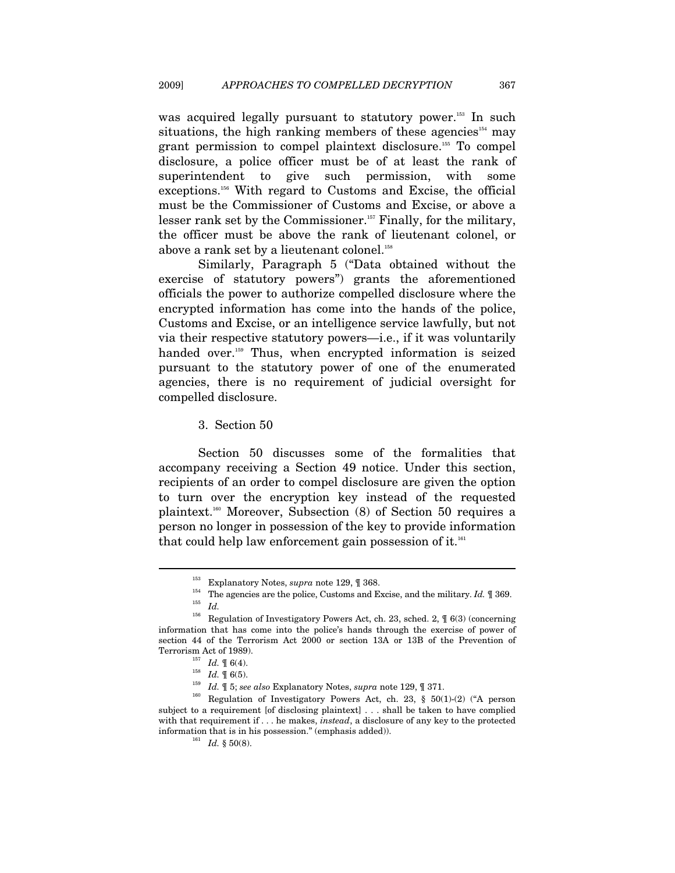was acquired legally pursuant to statutory power.<sup>153</sup> In such situations, the high ranking members of these agencies<sup>154</sup> may grant permission to compel plaintext disclosure.155 To compel disclosure, a police officer must be of at least the rank of superintendent to give such permission, with some exceptions.156 With regard to Customs and Excise, the official must be the Commissioner of Customs and Excise, or above a lesser rank set by the Commissioner.<sup>157</sup> Finally, for the military, the officer must be above the rank of lieutenant colonel, or above a rank set by a lieutenant colonel.<sup>158</sup>

Similarly, Paragraph 5 ("Data obtained without the exercise of statutory powers") grants the aforementioned officials the power to authorize compelled disclosure where the encrypted information has come into the hands of the police, Customs and Excise, or an intelligence service lawfully, but not via their respective statutory powers—i.e., if it was voluntarily handed over.<sup>159</sup> Thus, when encrypted information is seized pursuant to the statutory power of one of the enumerated agencies, there is no requirement of judicial oversight for compelled disclosure.

3. Section 50

Section 50 discusses some of the formalities that accompany receiving a Section 49 notice. Under this section, recipients of an order to compel disclosure are given the option to turn over the encryption key instead of the requested plaintext.160 Moreover, Subsection (8) of Section 50 requires a person no longer in possession of the key to provide information that could help law enforcement gain possession of it.<sup>161</sup>

<sup>&</sup>lt;sup>153</sup> Explanatory Notes, *supra* note 129, ¶ 368.<br><sup>154</sup> The agencies are the police, Customs and Excise, and the military. *Id.* ¶ 369.<br><sup>156</sup> Development is the police of the string police of the string of the string and t

Regulation of Investigatory Powers Act, ch. 23, sched. 2,  $\sqrt{ }$  6(3) (concerning information that has come into the police's hands through the exercise of power of section 44 of the Terrorism Act 2000 or section 13A or 13B of the Prevention of

Terrorism Act of 1989).<br>
<sup>157</sup> *Id.*  $\P$  6(4).<br>
<sup>158</sup> *Id.*  $\P$  6(5).<br>
<sup>159</sup> *Id.*  $\P$  5; *see also* Explanatory Notes, *supra* note 129,  $\P$  371.<br>
<sup>159</sup> *Id.*  $\P$  5; *see also* Explanatory Notes, *supra* note 129,  $\P$  37 subject to a requirement [of disclosing plaintext] . . . shall be taken to have complied with that requirement if . . . he makes, *instead*, a disclosure of any key to the protected information that is in his possession." (emphasis added)).  $Id. \S$  50(8).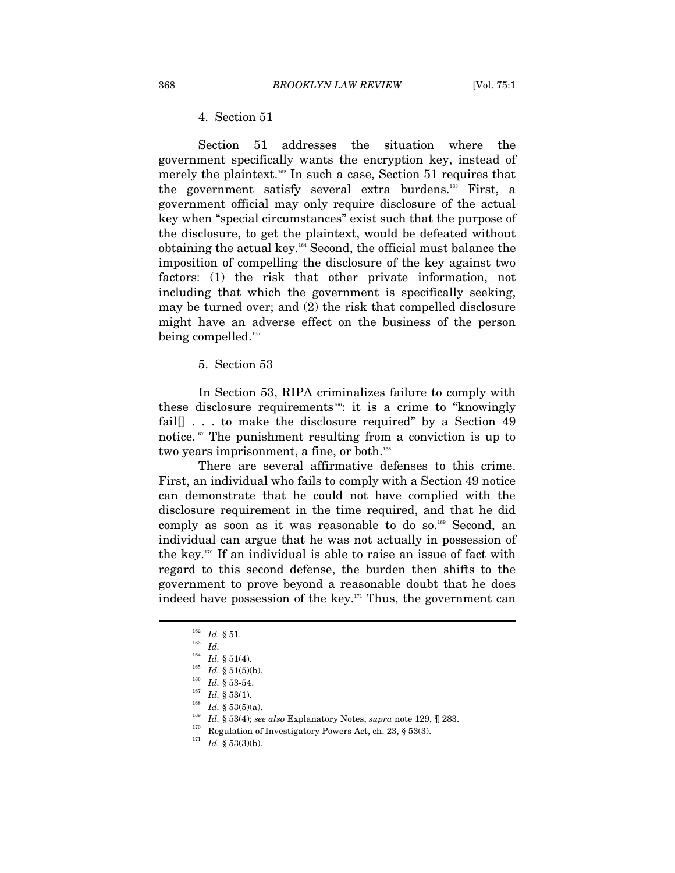## 4. Section 51

Section 51 addresses the situation where the government specifically wants the encryption key, instead of merely the plaintext.<sup>162</sup> In such a case, Section 51 requires that the government satisfy several extra burdens.163 First, a government official may only require disclosure of the actual key when "special circumstances" exist such that the purpose of the disclosure, to get the plaintext, would be defeated without obtaining the actual key.164 Second, the official must balance the imposition of compelling the disclosure of the key against two factors: (1) the risk that other private information, not including that which the government is specifically seeking, may be turned over; and (2) the risk that compelled disclosure might have an adverse effect on the business of the person being compelled.<sup>165</sup>

5. Section 53

In Section 53, RIPA criminalizes failure to comply with these disclosure requirements<sup>166</sup>: it is a crime to "knowingly fail<sup>[]</sup> . . . to make the disclosure required" by a Section 49 notice.167 The punishment resulting from a conviction is up to two years imprisonment, a fine, or both.<sup>168</sup>

There are several affirmative defenses to this crime. First, an individual who fails to comply with a Section 49 notice can demonstrate that he could not have complied with the disclosure requirement in the time required, and that he did comply as soon as it was reasonable to do so.<sup>169</sup> Second, an individual can argue that he was not actually in possession of the key.170 If an individual is able to raise an issue of fact with regard to this second defense, the burden then shifts to the government to prove beyond a reasonable doubt that he does indeed have possession of the key.<sup>171</sup> Thus, the government can

 $\frac{162}{163}$  *Id.* § 51.<br>  $\frac{164}{164}$  *II* 8 51.

<sup>&</sup>lt;sup>164</sup> *Id.* § 51(4).<br>
<sup>165</sup> *Id.* § 51(5)(b).<br>
<sup>166</sup> *Id.* § 53-54.<br> *Id.* § 53(1).<br>
<sup>168</sup> *Id.* § 53(5)(a).<br>
<sup>168</sup> *Id.* § 53(5)(a).<br>
<sup>169</sup> *Id.* § 53(4); *see also* Explanatory Notes, *supra* note 129, ¶ 283.<br>
<sup>170</sup> Reg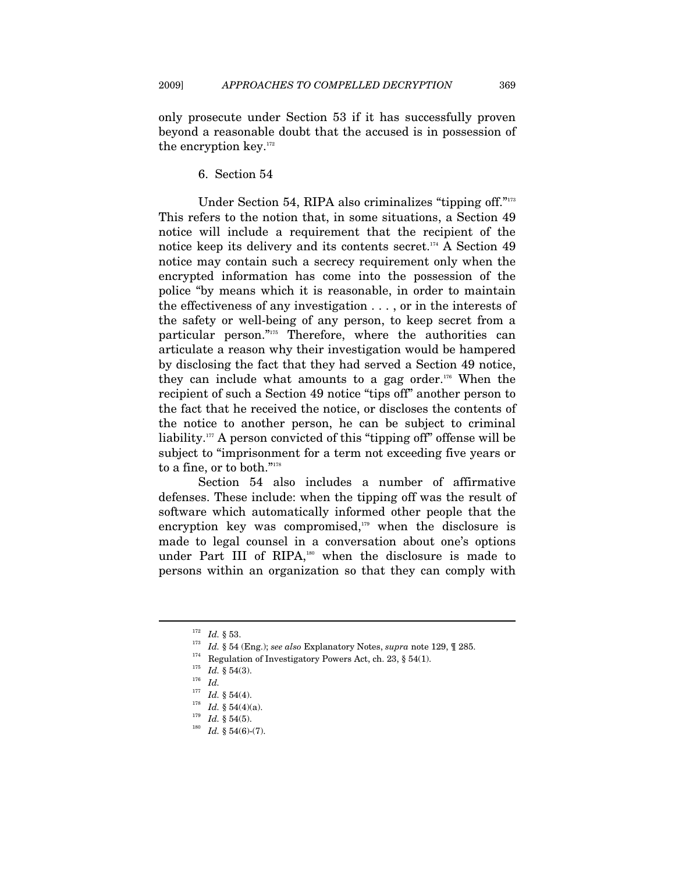only prosecute under Section 53 if it has successfully proven beyond a reasonable doubt that the accused is in possession of the encryption key.<sup>172</sup>

6. Section 54

Under Section 54, RIPA also criminalizes "tipping off."173 This refers to the notion that, in some situations, a Section 49 notice will include a requirement that the recipient of the notice keep its delivery and its contents secret.<sup>174</sup> A Section 49 notice may contain such a secrecy requirement only when the encrypted information has come into the possession of the police "by means which it is reasonable, in order to maintain the effectiveness of any investigation . . . , or in the interests of the safety or well-being of any person, to keep secret from a particular person."175 Therefore, where the authorities can articulate a reason why their investigation would be hampered by disclosing the fact that they had served a Section 49 notice, they can include what amounts to a gag order.<sup>176</sup> When the recipient of such a Section 49 notice "tips off" another person to the fact that he received the notice, or discloses the contents of the notice to another person, he can be subject to criminal liability.177 A person convicted of this "tipping off" offense will be subject to "imprisonment for a term not exceeding five years or to a fine, or to both."178

Section 54 also includes a number of affirmative defenses. These include: when the tipping off was the result of software which automatically informed other people that the encryption key was compromised, $179$  when the disclosure is made to legal counsel in a conversation about one's options under Part III of RIPA,<sup>180</sup> when the disclosure is made to persons within an organization so that they can comply with

<sup>172</sup> *Id.* § 53.<br>
173 *Id.* § 54 (Eng.); *see also* Explanatory Notes, *supra* note 129, ¶ 285.<br>
174 Regulation of Investigatory Powers Act, ch. 23, § 54(1).<br>
175 *Id.* § 54(3).<br>
175 *Id.* 

<sup>177</sup> *Id.* § 54(4). 178 *Id.* § 54(4)(a). 179 *Id.* § 54(5). 180 *Id.* § 54(6)-(7).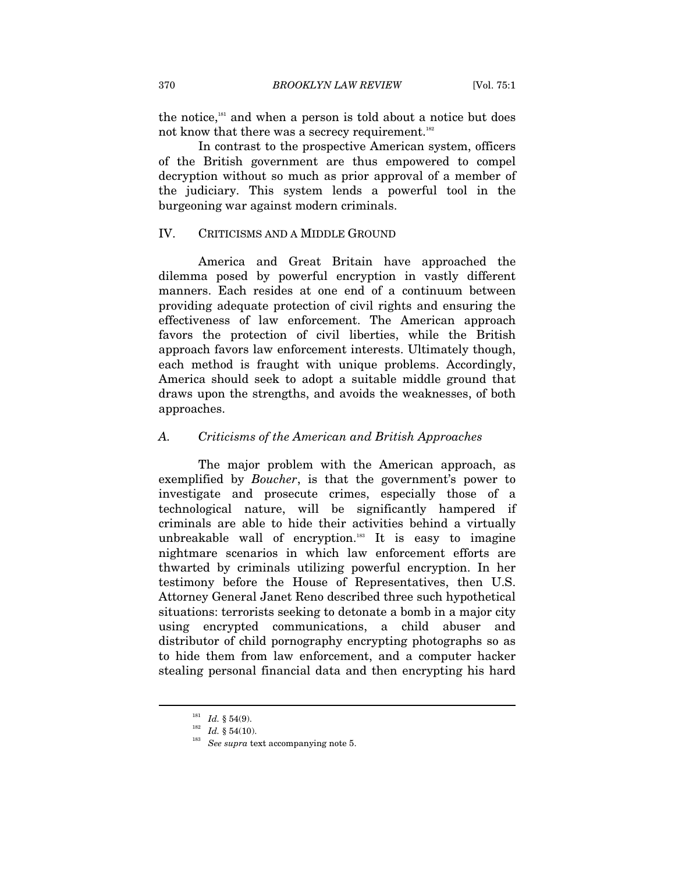the notice,<sup>181</sup> and when a person is told about a notice but does not know that there was a secrecy requirement.<sup>182</sup>

In contrast to the prospective American system, officers of the British government are thus empowered to compel decryption without so much as prior approval of a member of the judiciary. This system lends a powerful tool in the burgeoning war against modern criminals.

### IV. CRITICISMS AND A MIDDLE GROUND

America and Great Britain have approached the dilemma posed by powerful encryption in vastly different manners. Each resides at one end of a continuum between providing adequate protection of civil rights and ensuring the effectiveness of law enforcement. The American approach favors the protection of civil liberties, while the British approach favors law enforcement interests. Ultimately though, each method is fraught with unique problems. Accordingly, America should seek to adopt a suitable middle ground that draws upon the strengths, and avoids the weaknesses, of both approaches.

#### *A. Criticisms of the American and British Approaches*

The major problem with the American approach, as exemplified by *Boucher*, is that the government's power to investigate and prosecute crimes, especially those of a technological nature, will be significantly hampered if criminals are able to hide their activities behind a virtually unbreakable wall of encryption. $183$  It is easy to imagine nightmare scenarios in which law enforcement efforts are thwarted by criminals utilizing powerful encryption. In her testimony before the House of Representatives, then U.S. Attorney General Janet Reno described three such hypothetical situations: terrorists seeking to detonate a bomb in a major city using encrypted communications, a child abuser and distributor of child pornography encrypting photographs so as to hide them from law enforcement, and a computer hacker stealing personal financial data and then encrypting his hard

<sup>&</sup>lt;sup>181</sup> *Id.* § 54(9).<br><sup>182</sup> *Id.* § 54(10).<br><sup>183</sup> *See supra* text accompanying note 5.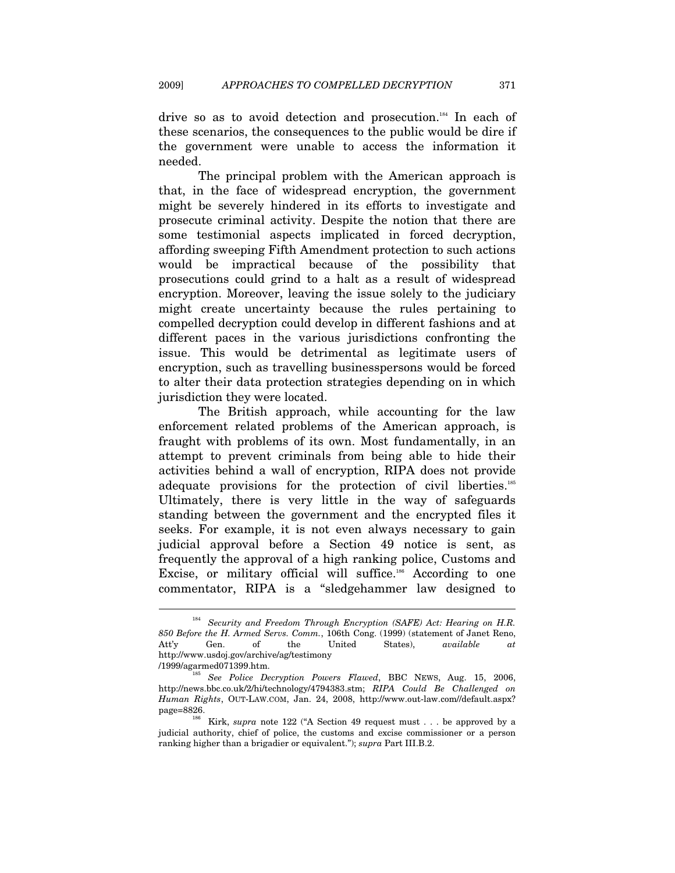drive so as to avoid detection and prosecution.<sup>184</sup> In each of these scenarios, the consequences to the public would be dire if the government were unable to access the information it needed.

The principal problem with the American approach is that, in the face of widespread encryption, the government might be severely hindered in its efforts to investigate and prosecute criminal activity. Despite the notion that there are some testimonial aspects implicated in forced decryption, affording sweeping Fifth Amendment protection to such actions would be impractical because of the possibility that prosecutions could grind to a halt as a result of widespread encryption. Moreover, leaving the issue solely to the judiciary might create uncertainty because the rules pertaining to compelled decryption could develop in different fashions and at different paces in the various jurisdictions confronting the issue. This would be detrimental as legitimate users of encryption, such as travelling businesspersons would be forced to alter their data protection strategies depending on in which jurisdiction they were located.

The British approach, while accounting for the law enforcement related problems of the American approach, is fraught with problems of its own. Most fundamentally, in an attempt to prevent criminals from being able to hide their activities behind a wall of encryption, RIPA does not provide adequate provisions for the protection of civil liberties.<sup>185</sup> Ultimately, there is very little in the way of safeguards standing between the government and the encrypted files it seeks. For example, it is not even always necessary to gain judicial approval before a Section 49 notice is sent, as frequently the approval of a high ranking police, Customs and Excise, or military official will suffice.<sup>186</sup> According to one commentator, RIPA is a "sledgehammer law designed to

<sup>&</sup>lt;sup>184</sup> Security and Freedom Through Encryption (SAFE) Act: Hearing on H.R. *850 Before the H. Armed Servs. Comm.*, 106th Cong. (1999) (statement of Janet Reno, Att'y Gen. of the United States), *available at* http://www.usdoj.gov/archive/ag/testimony

<sup>/1999/</sup>agarmed071399.htm. 185 *See Police Decryption Powers Flawed*, BBC NEWS, Aug. 15, 2006, http://news.bbc.co.uk/2/hi/technology/4794383.stm; *RIPA Could Be Challenged on Human Rights*, OUT-LAW.COM, Jan. 24, 2008, http://www.out-law.com//default.aspx? page=8826. <br><sup>186</sup> Kirk, *supra* note 122 ("A Section 49 request must . . . be approved by a

judicial authority, chief of police, the customs and excise commissioner or a person ranking higher than a brigadier or equivalent."); *supra* Part III.B.2.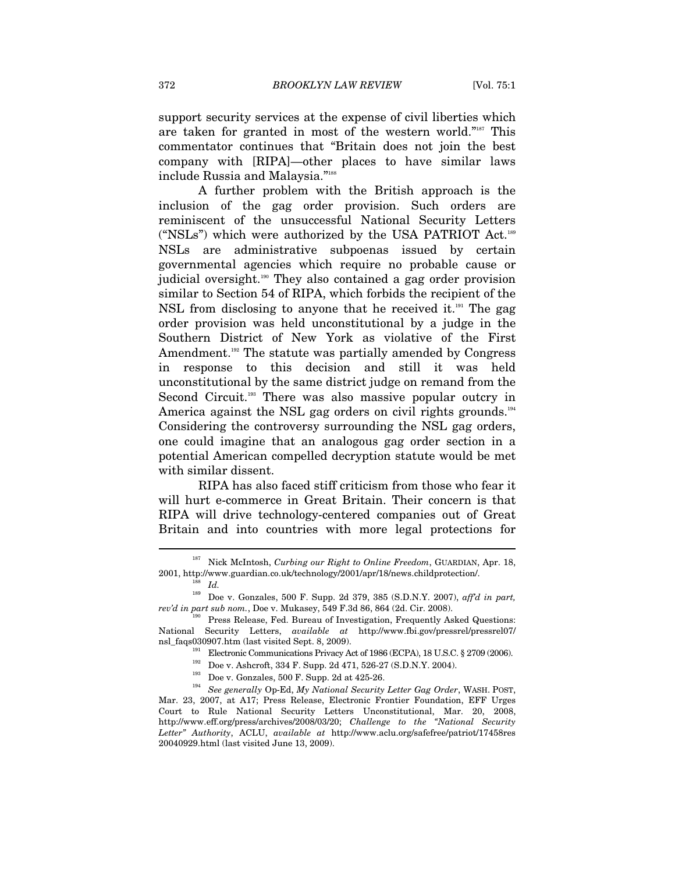support security services at the expense of civil liberties which are taken for granted in most of the western world."187 This commentator continues that "Britain does not join the best company with [RIPA]—other places to have similar laws include Russia and Malaysia."188

A further problem with the British approach is the inclusion of the gag order provision. Such orders are reminiscent of the unsuccessful National Security Letters ("NSLs") which were authorized by the USA PATRIOT Act.189 NSLs are administrative subpoenas issued by certain governmental agencies which require no probable cause or judicial oversight.<sup>190</sup> They also contained a gag order provision similar to Section 54 of RIPA, which forbids the recipient of the NSL from disclosing to anyone that he received it.<sup>191</sup> The gag order provision was held unconstitutional by a judge in the Southern District of New York as violative of the First Amendment.<sup>192</sup> The statute was partially amended by Congress in response to this decision and still it was held unconstitutional by the same district judge on remand from the Second Circuit.<sup>193</sup> There was also massive popular outcry in America against the NSL gag orders on civil rights grounds.<sup>194</sup> Considering the controversy surrounding the NSL gag orders, one could imagine that an analogous gag order section in a potential American compelled decryption statute would be met with similar dissent.

RIPA has also faced stiff criticism from those who fear it will hurt e-commerce in Great Britain. Their concern is that RIPA will drive technology-centered companies out of Great Britain and into countries with more legal protections for

<sup>&</sup>lt;sup>187</sup> Nick McIntosh, *Curbing our Right to Online Freedom*, GUARDIAN, Apr. 18, 2001, http://www.guardian.co.uk/technology/2001/apr/18/news.childprotection/. 188 *Id.*

<sup>189</sup> Doe v. Gonzales, 500 F. Supp. 2d 379, 385 (S.D.N.Y. 2007), *aff'd in part, rev'd in part sub nom.*, Doe v. Mukasey, 549 F.3d 86, 864 (2d. Cir. 2008).<br><sup>190</sup> Press Release, Fed. Bureau of Investigation, Frequently Asked Questions:

National Security Letters, *available at* http://www.fbi.gov/pressrel/pressrel07/ nsl\_faqs030907.htm (last visited Sept. 8, 2009).<br>
Electronic Communications Privacy Act of 1986 (ECPA), 18 U.S.C. § 2709 (2006).<br>
<sup>192</sup> Doe v. Ashcroft, 334 F. Supp. 2d 471, 526-27 (S.D.N.Y. 2004).<br>
<sup>193</sup> Doe v. Gonzales,

Mar. 23, 2007, at A17; Press Release, Electronic Frontier Foundation, EFF Urges Court to Rule National Security Letters Unconstitutional, Mar. 20, 2008, http://www.eff.org/press/archives/2008/03/20; *Challenge to the "National Security Letter" Authority*, ACLU, *available at* http://www.aclu.org/safefree/patriot/17458res 20040929.html (last visited June 13, 2009).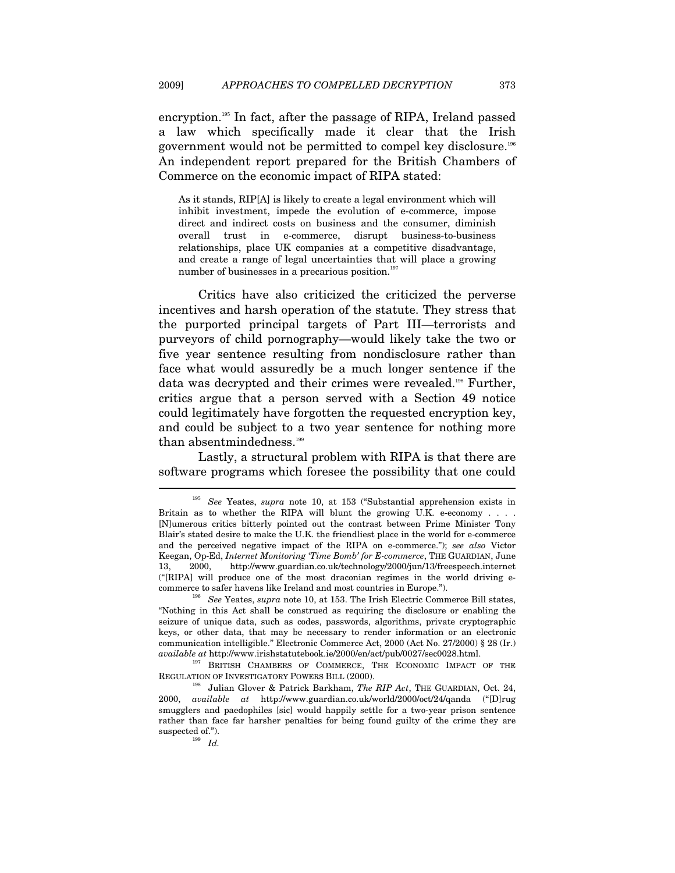encryption.195 In fact, after the passage of RIPA, Ireland passed a law which specifically made it clear that the Irish government would not be permitted to compel key disclosure.196 An independent report prepared for the British Chambers of Commerce on the economic impact of RIPA stated:

As it stands, RIP[A] is likely to create a legal environment which will inhibit investment, impede the evolution of e-commerce, impose direct and indirect costs on business and the consumer, diminish overall trust in e-commerce, disrupt business-to-business relationships, place UK companies at a competitive disadvantage, and create a range of legal uncertainties that will place a growing number of businesses in a precarious position.<sup>197</sup>

Critics have also criticized the criticized the perverse incentives and harsh operation of the statute. They stress that the purported principal targets of Part III—terrorists and purveyors of child pornography—would likely take the two or five year sentence resulting from nondisclosure rather than face what would assuredly be a much longer sentence if the data was decrypted and their crimes were revealed.<sup>198</sup> Further, critics argue that a person served with a Section 49 notice could legitimately have forgotten the requested encryption key, and could be subject to a two year sentence for nothing more than absentmindedness.<sup>199</sup>

Lastly, a structural problem with RIPA is that there are software programs which foresee the possibility that one could  $\overline{a}$ 

<sup>195</sup> *See* Yeates, *supra* note 10, at 153 ("Substantial apprehension exists in Britain as to whether the RIPA will blunt the growing U.K. e-economy  $\ldots$ . [N]umerous critics bitterly pointed out the contrast between Prime Minister Tony Blair's stated desire to make the U.K. the friendliest place in the world for e-commerce and the perceived negative impact of the RIPA on e-commerce."); *see also* Victor Keegan, Op-Ed, *Internet Monitoring 'Time Bomb' for E-commerce*, THE GUARDIAN, June 13, 2000, http://www.guardian.co.uk/technology/2000/jun/13/freespeech.internet ("[RIPA] will produce one of the most draconian regimes in the world driving ecommerce to safer havens like Ireland and most countries in Europe.").

<sup>196</sup> *See* Yeates, *supra* note 10, at 153. The Irish Electric Commerce Bill states, "Nothing in this Act shall be construed as requiring the disclosure or enabling the seizure of unique data, such as codes, passwords, algorithms, private cryptographic keys, or other data, that may be necessary to render information or an electronic communication intelligible." Electronic Commerce Act, 2000 (Act No. 27/2000) § 28 (Ir.)

*available at* http://www.irishstatutebook.ie/2000/en/act/pub/0027/sec0028.html.<br><sup>197</sup> BRITISH CHAMBERS OF COMMERCE, THE ECONOMIC IMPACT OF THE REGULATION OF INVESTIGATORY POWERS BILL (2000).

<sup>&</sup>lt;sup>8</sup> Julian Glover & Patrick Barkham, *The RIP Act*, THE GUARDIAN, Oct. 24, 2000, *available at* http://www.guardian.co.uk/world/2000/oct/24/qanda ("[D]rug smugglers and paedophiles [sic] would happily settle for a two-year prison sentence rather than face far harsher penalties for being found guilty of the crime they are suspected of.").<br> $Id.$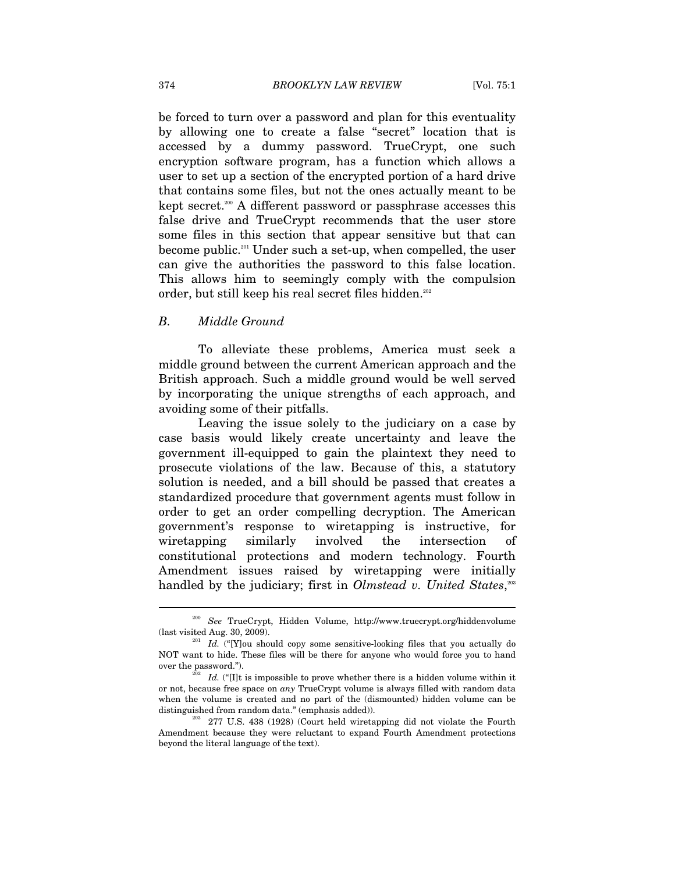be forced to turn over a password and plan for this eventuality by allowing one to create a false "secret" location that is accessed by a dummy password. TrueCrypt, one such encryption software program, has a function which allows a user to set up a section of the encrypted portion of a hard drive that contains some files, but not the ones actually meant to be kept secret.<sup>200</sup> A different password or passphrase accesses this false drive and TrueCrypt recommends that the user store some files in this section that appear sensitive but that can become public.201 Under such a set-up, when compelled, the user can give the authorities the password to this false location. This allows him to seemingly comply with the compulsion order, but still keep his real secret files hidden.<sup>202</sup>

### *B. Middle Ground*

To alleviate these problems, America must seek a middle ground between the current American approach and the British approach. Such a middle ground would be well served by incorporating the unique strengths of each approach, and avoiding some of their pitfalls.

Leaving the issue solely to the judiciary on a case by case basis would likely create uncertainty and leave the government ill-equipped to gain the plaintext they need to prosecute violations of the law. Because of this, a statutory solution is needed, and a bill should be passed that creates a standardized procedure that government agents must follow in order to get an order compelling decryption. The American government's response to wiretapping is instructive, for wiretapping similarly involved the intersection of constitutional protections and modern technology. Fourth Amendment issues raised by wiretapping were initially handled by the judiciary; first in *Olmstead v. United States*,<sup>203</sup>

 $\overline{\phantom{a}}$ 

 $^{200}$   $\,$   $\,$  See  $\,$  TrueCrypt, Hidden Volume, http://www.truecrypt.org/hiddenvolume (last visited Aug. 30, 2009).

 $\frac{1}{201}$  *Id.* ("[Y]ou should copy some sensitive-looking files that you actually do NOT want to hide. These files will be there for anyone who would force you to hand over the password.").<br><sup>202</sup> *Id.* ("[I]t is impossible to prove whether there is a hidden volume within it

or not, because free space on *any* TrueCrypt volume is always filled with random data when the volume is created and no part of the (dismounted) hidden volume can be distinguished from random data." (emphasis added)). <sup>203</sup> 277 U.S. 438 (1928) (Court held wiretapping did not violate the Fourth

Amendment because they were reluctant to expand Fourth Amendment protections beyond the literal language of the text).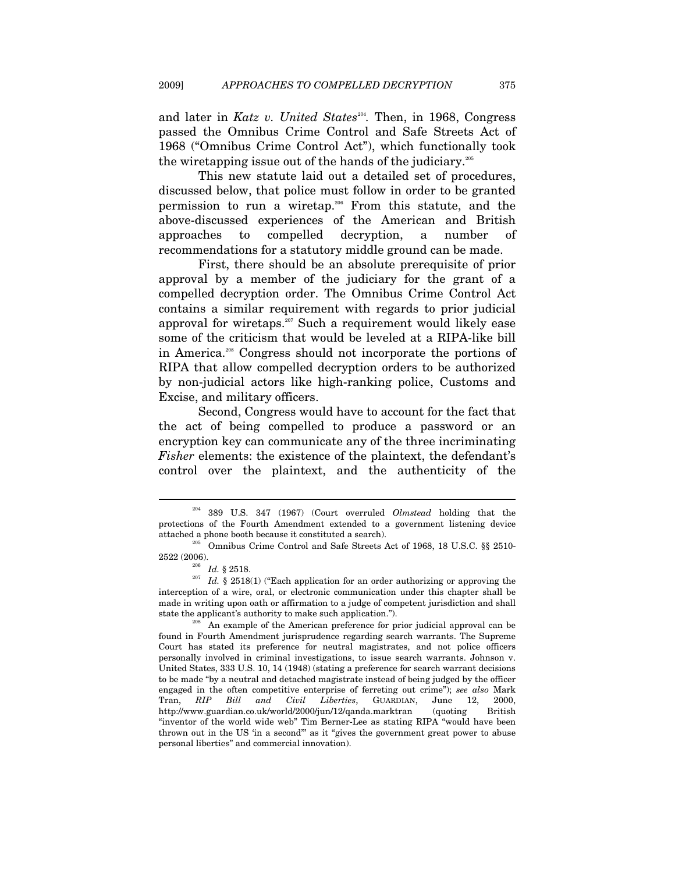and later in *Katz v. United States*<sup>204</sup>. Then, in 1968, Congress passed the Omnibus Crime Control and Safe Streets Act of 1968 ("Omnibus Crime Control Act"), which functionally took the wiretapping issue out of the hands of the judiciary.205

This new statute laid out a detailed set of procedures, discussed below, that police must follow in order to be granted permission to run a wiretap.206 From this statute, and the above-discussed experiences of the American and British approaches to compelled decryption, a number of recommendations for a statutory middle ground can be made.

First, there should be an absolute prerequisite of prior approval by a member of the judiciary for the grant of a compelled decryption order. The Omnibus Crime Control Act contains a similar requirement with regards to prior judicial approval for wiretaps.<sup>207</sup> Such a requirement would likely ease some of the criticism that would be leveled at a RIPA-like bill in America.208 Congress should not incorporate the portions of RIPA that allow compelled decryption orders to be authorized by non-judicial actors like high-ranking police, Customs and Excise, and military officers.

Second, Congress would have to account for the fact that the act of being compelled to produce a password or an encryption key can communicate any of the three incriminating *Fisher* elements: the existence of the plaintext, the defendant's control over the plaintext, and the authenticity of the

<sup>204 389</sup> U.S. 347 (1967) (Court overruled *Olmstead* holding that the protections of the Fourth Amendment extended to a government listening device

attached a phone booth because it constituted a search).<br><sup>205</sup> Omnibus Crime Control and Safe Streets Act of 1968, 18 U.S.C. §§ 2510-<br>2522 (2006).

<sup>&</sup>lt;sup>206</sup> *Id.* § 2518. <sup>207</sup> *Id.* § 2518(1) ("Each application for an order authorizing or approving the interception of a wire, oral, or electronic communication under this chapter shall be made in writing upon oath or affirmation to a judge of competent jurisdiction and shall state the applicant's authority to make such application.").<br><sup>208</sup> An example of the American preference for prior judicial approval can be

found in Fourth Amendment jurisprudence regarding search warrants. The Supreme Court has stated its preference for neutral magistrates, and not police officers personally involved in criminal investigations, to issue search warrants. Johnson v. United States, 333 U.S. 10, 14 (1948) (stating a preference for search warrant decisions to be made "by a neutral and detached magistrate instead of being judged by the officer engaged in the often competitive enterprise of ferreting out crime"); *see also* Mark Tran, *RIP Bill and Civil Liberties*, GUARDIAN, June 12, 2000, http://www.guardian.co.uk/world/2000/jun/12/qanda.marktran (quoting British "inventor of the world wide web" Tim Berner-Lee as stating RIPA "would have been thrown out in the US 'in a second'" as it "gives the government great power to abuse personal liberties" and commercial innovation).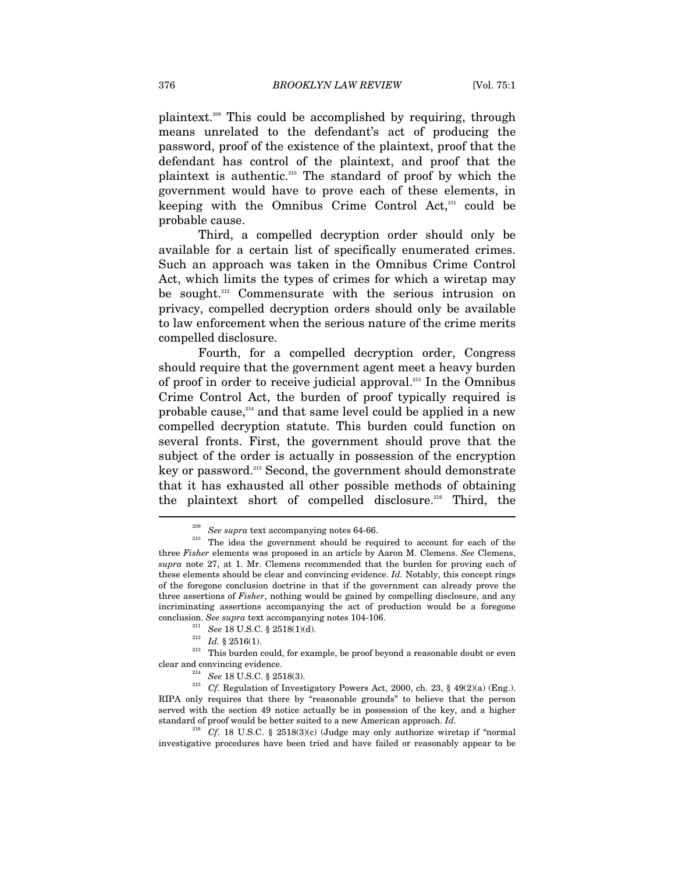plaintext.209 This could be accomplished by requiring, through means unrelated to the defendant's act of producing the password, proof of the existence of the plaintext, proof that the defendant has control of the plaintext, and proof that the plaintext is authentic.210 The standard of proof by which the government would have to prove each of these elements, in keeping with the Omnibus Crime Control  $Act<sub>1</sub><sup>211</sup>$  could be probable cause.

Third, a compelled decryption order should only be available for a certain list of specifically enumerated crimes. Such an approach was taken in the Omnibus Crime Control Act, which limits the types of crimes for which a wiretap may be sought.212 Commensurate with the serious intrusion on privacy, compelled decryption orders should only be available to law enforcement when the serious nature of the crime merits compelled disclosure.

Fourth, for a compelled decryption order, Congress should require that the government agent meet a heavy burden of proof in order to receive judicial approval.<sup>213</sup> In the Omnibus Crime Control Act, the burden of proof typically required is probable cause,<sup>214</sup> and that same level could be applied in a new compelled decryption statute. This burden could function on several fronts. First, the government should prove that the subject of the order is actually in possession of the encryption key or password.215 Second, the government should demonstrate that it has exhausted all other possible methods of obtaining the plaintext short of compelled disclosure.216 Third, the

<sup>211</sup> See 18 U.S.C. § 2518(1)(d). <br><sup>212</sup> *Id.* § 2516(1). <sup>213</sup> This burden could, for example, be proof beyond a reasonable doubt or even

<sup>&</sup>lt;sup>209</sup> See supra text accompanying notes 64-66.<br><sup>210</sup> The idea the government should be required to account for each of the three *Fisher* elements was proposed in an article by Aaron M. Clemens. *See* Clemens, *supra* note 27, at 1. Mr. Clemens recommended that the burden for proving each of these elements should be clear and convincing evidence. *Id.* Notably, this concept rings of the foregone conclusion doctrine in that if the government can already prove the three assertions of *Fisher*, nothing would be gained by compelling disclosure, and any incriminating assertions accompanying the act of production would be a foregone conclusion. See supra text accompanying notes 104-106.

clear and convincing evidence. <sup>214</sup> See 18 U.S.C. § 2518(3). <br><sup>215</sup> Cf. Regulation of Investigatory Powers Act, 2000, ch. 23, § 49(2)(a) (Eng.). RIPA only requires that there by "reasonable grounds" to believe that the person served with the section 49 notice actually be in possession of the key, and a higher standard of proof would be better suited to a new American approach. *Id.*

<sup>216</sup> *Cf*. 18 U.S.C. § 2518(3)(c) (Judge may only authorize wiretap if "normal investigative procedures have been tried and have failed or reasonably appear to be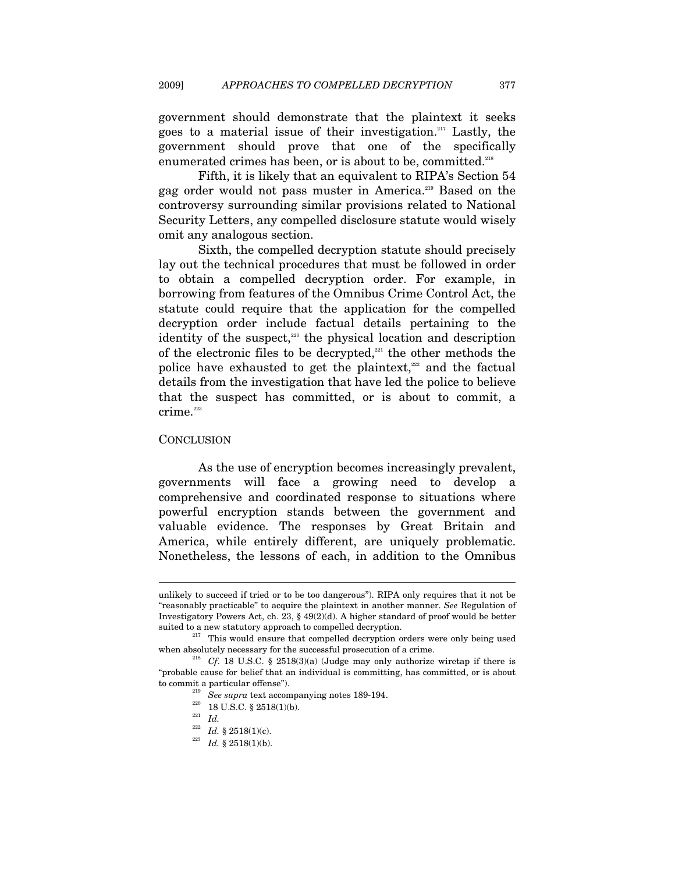government should demonstrate that the plaintext it seeks goes to a material issue of their investigation.217 Lastly, the government should prove that one of the specifically enumerated crimes has been, or is about to be, committed.218

Fifth, it is likely that an equivalent to RIPA's Section 54 gag order would not pass muster in America.219 Based on the controversy surrounding similar provisions related to National Security Letters, any compelled disclosure statute would wisely omit any analogous section.

Sixth, the compelled decryption statute should precisely lay out the technical procedures that must be followed in order to obtain a compelled decryption order. For example, in borrowing from features of the Omnibus Crime Control Act, the statute could require that the application for the compelled decryption order include factual details pertaining to the identity of the suspect, $220$  the physical location and description of the electronic files to be decrypted, $221$  the other methods the police have exhausted to get the plaintext, $222$  and the factual details from the investigation that have led the police to believe that the suspect has committed, or is about to commit, a crime.<sup>223</sup>

#### **CONCLUSION**

 $\overline{a}$ 

As the use of encryption becomes increasingly prevalent, governments will face a growing need to develop a comprehensive and coordinated response to situations where powerful encryption stands between the government and valuable evidence. The responses by Great Britain and America, while entirely different, are uniquely problematic. Nonetheless, the lessons of each, in addition to the Omnibus

unlikely to succeed if tried or to be too dangerous"). RIPA only requires that it not be "reasonably practicable" to acquire the plaintext in another manner. *See* Regulation of Investigatory Powers Act, ch. 23, § 49(2)(d). A higher standard of proof would be better suited to a new statutory approach to compelled decryption.<br><sup>217</sup> This would ensure that compelled decryption orders were only being used

when absolutely necessary for the successful prosecution of a crime.<br><sup>218</sup> *Cf*. 18 U.S.C. § 2518(3)(a) (Judge may only authorize wiretap if there is

<sup>&</sup>quot;probable cause for belief that an individual is committing, has committed, or is about to commit a particular offense").<br>
<sup>219</sup> See *supra* text accompanying notes 189-194.<br>
<sup>220</sup> 18 U.S.C. § 2518(1)(b).<br>
<sup>221</sup> *Id.* <sup>222</sup> *Id.* § 2518(1)(c).

 $^{223}$   $\,$   $\! Id.$   $\,$   $\!\!\!$   $\!\!\!$   $\!\!\!$   $\!\!\!$   $\! 2518(1)(\mbox{b}).$